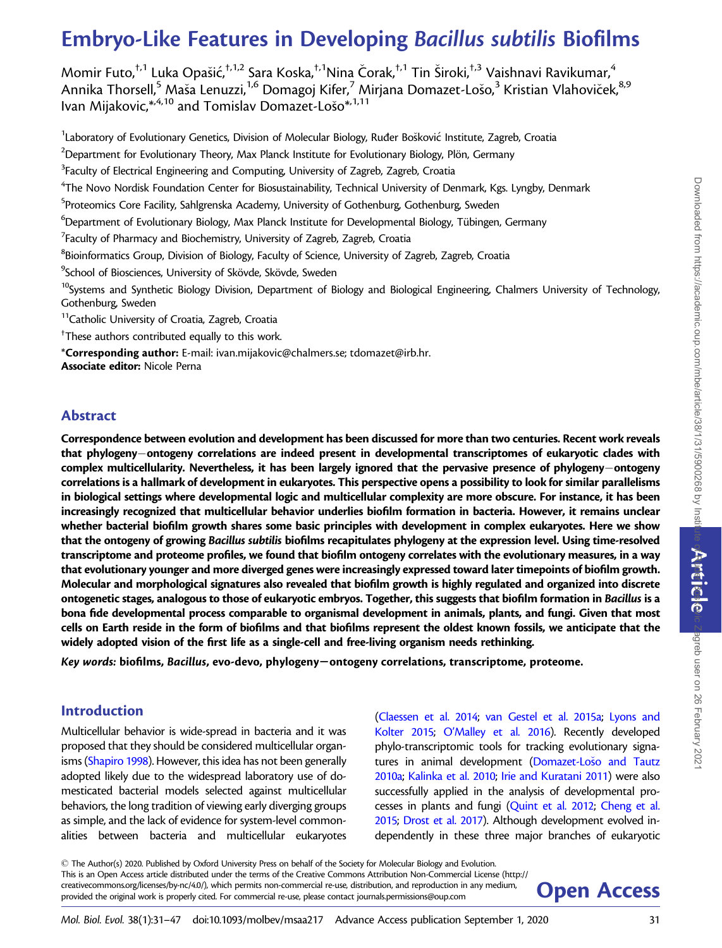# Embryo-Like Features in Developing Bacillus subtilis Biofilms

Momir Futo,<sup>†,1</sup> Luka Opašić,<sup>†,1,2</sup> Sara Koska,<sup>†,1</sup>Nina Čorak,<sup>†,1</sup> Tin Široki,<sup>†,3</sup> Vaishnavi Ravikumar,<sup>4</sup> Annika Thorsell,<sup>5</sup> Maša Lenuzzi,<sup>1,6</sup> Domagoj Kifer,<sup>7</sup> Mirjana Domazet-Lošo,<sup>3</sup> Kristian Vlahoviček,<sup>8,9</sup> Ivan Mijakovic, \* <sup>4,10</sup> and Tomislav Domazet-Lošo \*<sup>, 1,11</sup>

<sup>1</sup>Laboratory of Evolutionary Genetics, Division of Molecular Biology, Ruđer Bošković Institute, Zagreb, Croatia  $^2$ Department for Evolutionary Theory, Max Planck Institute for Evolutionary Biology, Plön, Germany  $^3$ Faculty of Electrical Engineering and Computing, University of Zagreb, Zagreb, Croatia  $\rm ^4$ The Novo Nordisk Foundation Center for Biosustainability, Technical University of Denmark, Kgs. Lyngby, Denmark <sup>5</sup>Proteomics Core Facility, Sahlgrenska Academy, University of Gothenburg, Gothenburg, Sweden  $^6$ Department of Evolutionary Biology, Max Planck Institute for Developmental Biology, Tübingen, Germany  $\sigma$ Faculty of Pharmacy and Biochemistry, University of Zagreb, Zagreb, Croatia  $^8$ Bioinformatics Group, Division of Biology, Faculty of Science, University of Zagreb, Zagreb, Croatia <sup>9</sup>School of Biosciences, University of Skövde, Skövde, Sweden <sup>10</sup>Systems and Synthetic Biology Division, Department of Biology and Biological Engineering, Chalmers University of Technology, Gothenburg, Sweden <sup>11</sup>Catholic University of Croatia, Zagreb, Croatia  $^\dagger$ These authors contributed equally to this work. \*Corresponding author: E-mail: ivan.mijakovic@chalmers.se; tdomazet@irb.hr.

Associate editor: Nicole Perna

# Abstract

Correspondence between evolution and development has been discussed for more than two centuries. Recent work reveals that phylogeny-ontogeny correlations are indeed present in developmental transcriptomes of eukaryotic clades with complex multicellularity. Nevertheless, it has been largely ignored that the pervasive presence of phylogeny-ontogeny correlations is a hallmark of development in eukaryotes. This perspective opens a possibility to look for similar parallelisms in biological settings where developmental logic and multicellular complexity are more obscure. For instance, it has been increasingly recognized that multicellular behavior underlies biofilm formation in bacteria. However, it remains unclear whether bacterial biofilm growth shares some basic principles with development in complex eukaryotes. Here we show that the ontogeny of growing Bacillus subtilis biofilms recapitulates phylogeny at the expression level. Using time-resolved transcriptome and proteome profiles, we found that biofilm ontogeny correlates with the evolutionary measures, in a way that evolutionary younger and more diverged genes were increasingly expressed toward later timepoints of biofilm growth. Molecular and morphological signatures also revealed that biofilm growth is highly regulated and organized into discrete ontogenetic stages, analogous to those of eukaryotic embryos. Together, this suggests that biofilm formation in Bacillus is a bona fide developmental process comparable to organismal development in animals, plants, and fungi. Given that most cells on Earth reside in the form of biofilms and that biofilms represent the oldest known fossils, we anticipate that the widely adopted vision of the first life as a single-cell and free-living organism needs rethinking.

Key words: biofilms, Bacillus, evo-devo, phylogeny - ontogeny correlations, transcriptome, proteome.

# Introduction

Multicellular behavior is wide-spread in bacteria and it was proposed that they should be considered multicellular organisms ([Shapiro 1998](#page-16-0)). However, this idea has not been generally adopted likely due to the widespread laboratory use of domesticated bacterial models selected against multicellular behaviors, the long tradition of viewing early diverging groups as simple, and the lack of evidence for system-level commonalities between bacteria and multicellular eukaryotes

[\(Claessen et al. 2014;](#page-14-0) [van Gestel et al. 2015a](#page-15-0); [Lyons and](#page-15-0) [Kolter 2015;](#page-15-0) [O'Malley et al. 2016\)](#page-16-0). Recently developed phylo-transcriptomic tools for tracking evolutionary signa-tures in animal development ([Domazet-Lo](#page-15-0)šo and Tautz [2010a;](#page-15-0) [Kalinka et al. 2010;](#page-15-0) [Irie and Kuratani 2011](#page-15-0)) were also successfully applied in the analysis of developmental processes in plants and fungi ([Quint et al. 2012;](#page-16-0) [Cheng et al.](#page-14-0) [2015;](#page-14-0) [Drost et al. 2017](#page-15-0)). Although development evolved independently in these three major branches of eukaryotic

- The Author(s) 2020. Published by Oxford University Press on behalf of the Society for Molecular Biology and Evolution. This is an Open Access article distributed under the terms of the Creative Commons Attribution Non-Commercial License (http:// creativecommons.org/licenses/by-nc/4.0/), which permits non-commercial re-use, distribution, and reproduction in any medium, **Open Access** 

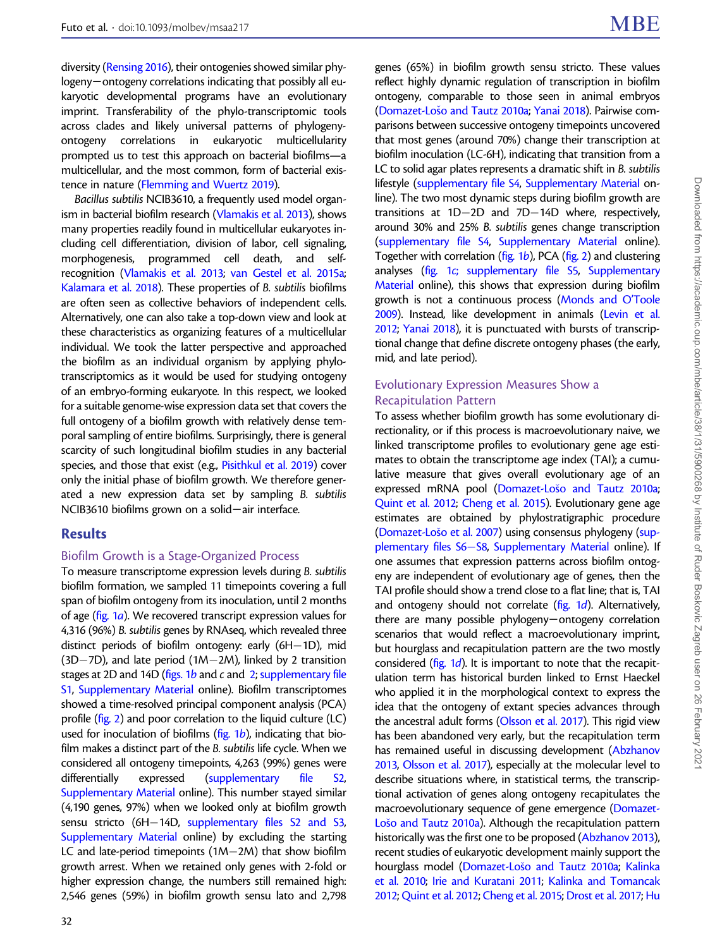diversity ([Rensing 2016](#page-16-0)), their ontogenies showed similar phy $logeny$  ontogeny correlations indicating that possibly all eukaryotic developmental programs have an evolutionary imprint. Transferability of the phylo-transcriptomic tools across clades and likely universal patterns of phylogenyontogeny correlations in eukaryotic multicellularity prompted us to test this approach on bacterial biofilms—a multicellular, and the most common, form of bacterial existence in nature ([Flemming and Wuertz 2019\)](#page-15-0).

Bacillus subtilis NCIB3610, a frequently used model organism in bacterial biofilm research [\(Vlamakis et al. 2013\)](#page-16-0), shows many properties readily found in multicellular eukaryotes including cell differentiation, division of labor, cell signaling, morphogenesis, programmed cell death, and selfrecognition [\(Vlamakis et al. 2013](#page-16-0); [van Gestel et al. 2015a;](#page-15-0) [Kalamara et al. 2018](#page-15-0)). These properties of B. subtilis biofilms are often seen as collective behaviors of independent cells. Alternatively, one can also take a top-down view and look at these characteristics as organizing features of a multicellular individual. We took the latter perspective and approached the biofilm as an individual organism by applying phylotranscriptomics as it would be used for studying ontogeny of an embryo-forming eukaryote. In this respect, we looked for a suitable genome-wise expression data set that covers the full ontogeny of a biofilm growth with relatively dense temporal sampling of entire biofilms. Surprisingly, there is general scarcity of such longitudinal biofilm studies in any bacterial species, and those that exist (e.g., [Pisithkul et al. 2019](#page-16-0)) cover only the initial phase of biofilm growth. We therefore generated a new expression data set by sampling B. subtilis  $NCIB3610$  biofilms grown on a solid-air interface.

# Results

## Biofilm Growth is a Stage-Organized Process

To measure transcriptome expression levels during B. subtilis biofilm formation, we sampled 11 timepoints covering a full span of biofilm ontogeny from its inoculation, until 2 months of age [\(fig. 1](#page-2-0)a). We recovered transcript expression values for 4,316 (96%) B. subtilis genes by RNAseq, which revealed three distinct periods of biofilm ontogeny: early (6H-1D), mid (3D-7D), and late period (1M-2M), linked by 2 transition stages at 2D and 14D (figs.  $1b$  and  $c$  and  $2$ ; supplementary file S1, Supplementary Material online). Biofilm transcriptomes showed a time-resolved principal component analysis (PCA) profile [\(fig. 2\)](#page-3-0) and poor correlation to the liquid culture (LC) used for inoculation of biofilms [\(fig. 1](#page-2-0)b), indicating that biofilm makes a distinct part of the B. subtilis life cycle. When we considered all ontogeny timepoints, 4,263 (99%) genes were differentially expressed (supplementary file S2, Supplementary Material online). This number stayed similar (4,190 genes, 97%) when we looked only at biofilm growth sensu stricto (6H–14D, supplementary files S2 and S3, Supplementary Material online) by excluding the starting LC and late-period timepoints (1M-2M) that show biofilm growth arrest. When we retained only genes with 2-fold or higher expression change, the numbers still remained high: 2,546 genes (59%) in biofilm growth sensu lato and 2,798 genes (65%) in biofilm growth sensu stricto. These values reflect highly dynamic regulation of transcription in biofilm ontogeny, comparable to those seen in animal embryos [\(Domazet-Lo](#page-15-0)š[o and Tautz 2010a](#page-15-0); [Yanai 2018\)](#page-16-0). Pairwise comparisons between successive ontogeny timepoints uncovered that most genes (around 70%) change their transcription at biofilm inoculation (LC-6H), indicating that transition from a LC to solid agar plates represents a dramatic shift in B. subtilis lifestyle (supplementary file S4, Supplementary Material online). The two most dynamic steps during biofilm growth are transitions at 1D-2D and 7D-14D where, respectively, around 30% and 25% B. subtilis genes change transcription (supplementary file S4, Supplementary Material online). Together with correlation ( $f$ ig. 1*b*), PCA ( $f$ ig. 2) and clustering analyses ([fig. 1](#page-2-0)c; supplementary file S5, Supplementary Material online), this shows that expression during biofilm growth is not a continuous process ([Monds and O'Toole](#page-15-0) [2009\)](#page-15-0). Instead, like development in animals [\(Levin et al.](#page-15-0) [2012;](#page-15-0) [Yanai 2018\)](#page-16-0), it is punctuated with bursts of transcriptional change that define discrete ontogeny phases (the early, mid, and late period).

# Evolutionary Expression Measures Show a Recapitulation Pattern

To assess whether biofilm growth has some evolutionary directionality, or if this process is macroevolutionary naive, we linked transcriptome profiles to evolutionary gene age estimates to obtain the transcriptome age index (TAI); a cumulative measure that gives overall evolutionary age of an expressed mRNA pool ([Domazet-Lo](#page-15-0)š[o and Tautz 2010a;](#page-15-0) [Quint et al. 2012](#page-16-0); [Cheng et al. 2015](#page-14-0)). Evolutionary gene age estimates are obtained by phylostratigraphic procedure [\(Domazet-Lo](#page-14-0)š[o et al. 2007\)](#page-14-0) using consensus phylogeny (supplementary files S6-S8, Supplementary Material online). If one assumes that expression patterns across biofilm ontogeny are independent of evolutionary age of genes, then the TAI profile should show a trend close to a flat line; that is, TAI and ontogeny should not correlate ([fig. 1](#page-2-0)d). Alternatively, there are many possible phylogeny-ontogeny correlation scenarios that would reflect a macroevolutionary imprint, but hourglass and recapitulation pattern are the two mostly considered ( $fig. 1d$ ). It is important to note that the recapitulation term has historical burden linked to Ernst Haeckel who applied it in the morphological context to express the idea that the ontogeny of extant species advances through the ancestral adult forms [\(Olsson et al. 2017\)](#page-16-0). This rigid view has been abandoned very early, but the recapitulation term has remained useful in discussing development [\(Abzhanov](#page-14-0) [2013,](#page-14-0) [Olsson et al. 2017\)](#page-16-0), especially at the molecular level to describe situations where, in statistical terms, the transcriptional activation of genes along ontogeny recapitulates the macroevolutionary sequence of gene emergence [\(Domazet-](#page-15-0)[Lo](#page-15-0)šo and Tautz 2010a). Although the recapitulation pattern historically was the first one to be proposed ([Abzhanov 2013\)](#page-14-0), recent studies of eukaryotic development mainly support the hourglass model ([Domazet-Lo](#page-15-0)š[o and Tautz 2010a](#page-15-0); [Kalinka](#page-15-0) [et al. 2010](#page-15-0); [Irie and Kuratani 2011;](#page-15-0) [Kalinka and Tomancak](#page-15-0) [2012;](#page-15-0) [Quint et al. 2012;](#page-16-0) [Cheng et al. 2015;](#page-14-0) [Drost et al. 2017;](#page-15-0) [Hu](#page-15-0)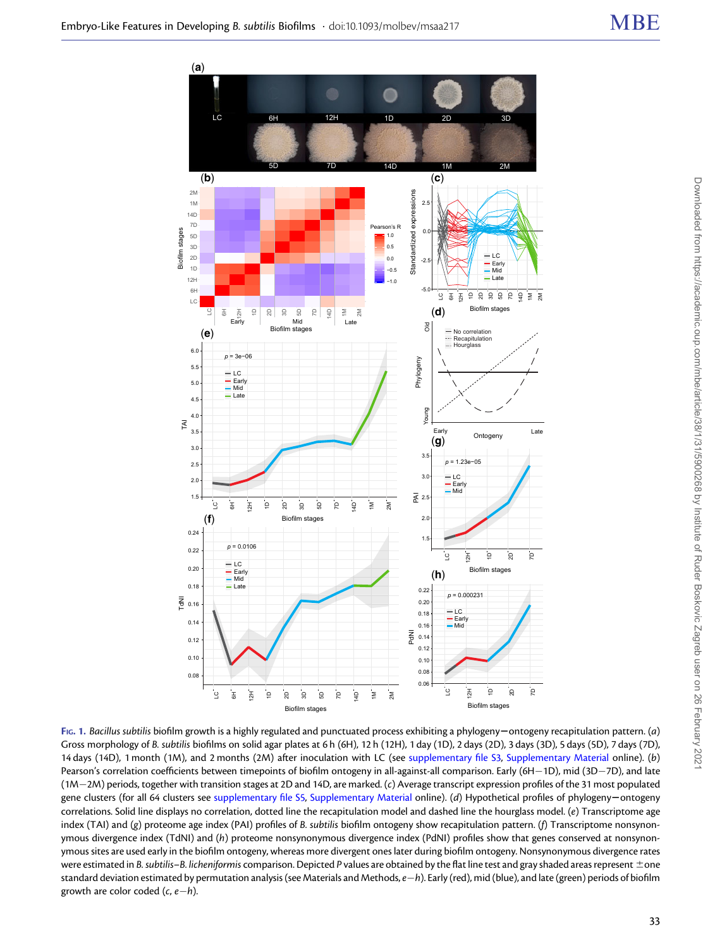<span id="page-2-0"></span>

FIG. 1. Bacillus subtilis biofilm growth is a highly regulated and punctuated process exhibiting a phylogeny - ontogeny recapitulation pattern. (a) Gross morphology of B. subtilis biofilms on solid agar plates at 6 h (6H), 12 h (12H), 1 day (1D), 2 days (2D), 3 days (3D), 5 days (5D), 7 days (7D), 14 days (14D), 1 month (1M), and 2 months (2M) after inoculation with LC (see supplementary file S3, Supplementary Material online). (b) Pearson's correlation coefficients between timepoints of biofilm ontogeny in all-against-all comparison. Early (6H-1D), mid (3D-7D), and late (1M-2M) periods, together with transition stages at 2D and 14D, are marked. (c) Average transcript expression profiles of the 31 most populated gene clusters (for all 64 clusters see supplementary file S5, Supplementary Material online). (d) Hypothetical profiles of phylogeny - ontogeny correlations. Solid line displays no correlation, dotted line the recapitulation model and dashed line the hourglass model. (e) Transcriptome age index (TAI) and (g) proteome age index (PAI) profiles of B. subtilis biofilm ontogeny show recapitulation pattern. (f) Transcriptome nonsynonymous divergence index (TdNI) and (h) proteome nonsynonymous divergence index (PdNI) profiles show that genes conserved at nonsynonymous sites are used early in the biofilm ontogeny, whereas more divergent ones later during biofilm ontogeny. Nonsynonymous divergence rates were estimated in B. subtilis–B. licheniformis comparison. Depicted P values are obtained by the flat line test and gray shaded areas represent  $\pm$  one standard deviation estimated by permutation analysis (see Materials and Methods,  $e$  – h). Early (red), mid (blue), and late (green) periods of biofilm growth are color coded  $(c, e-h)$ .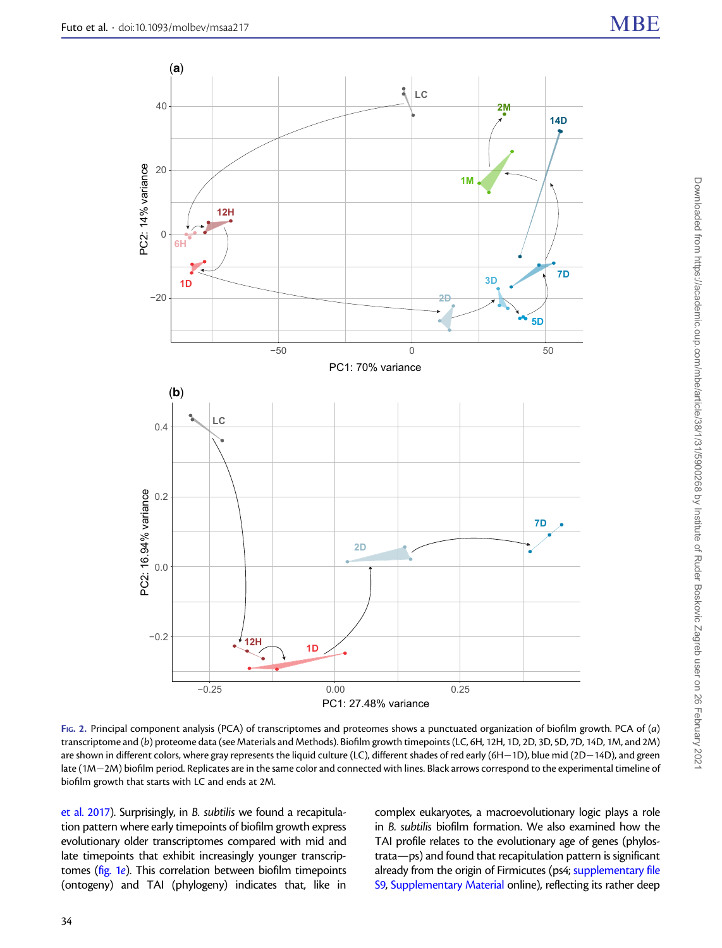<span id="page-3-0"></span>

FIG. 2. Principal component analysis (PCA) of transcriptomes and proteomes shows a punctuated organization of biofilm growth. PCA of  $(a)$ transcriptome and (b) proteome data (see Materials and Methods). Biofilm growth timepoints (LC, 6H, 12H, 1D, 2D, 3D, 5D, 7D, 14D, 1M, and 2M) are shown in different colors, where gray represents the liquid culture (LC), different shades of red early (6H-1D), blue mid (2D-14D), and green late (1M-2M) biofilm period. Replicates are in the same color and connected with lines. Black arrows correspond to the experimental timeline of biofilm growth that starts with LC and ends at 2M.

[et al. 2017\)](#page-15-0). Surprisingly, in B. subtilis we found a recapitulation pattern where early timepoints of biofilm growth express evolutionary older transcriptomes compared with mid and late timepoints that exhibit increasingly younger transcriptomes [\(fig. 1](#page-2-0)e). This correlation between biofilm timepoints (ontogeny) and TAI (phylogeny) indicates that, like in

complex eukaryotes, a macroevolutionary logic plays a role in B. subtilis biofilm formation. We also examined how the TAI profile relates to the evolutionary age of genes (phylostrata—ps) and found that recapitulation pattern is significant already from the origin of Firmicutes (ps4; supplementary file S9, Supplementary Material online), reflecting its rather deep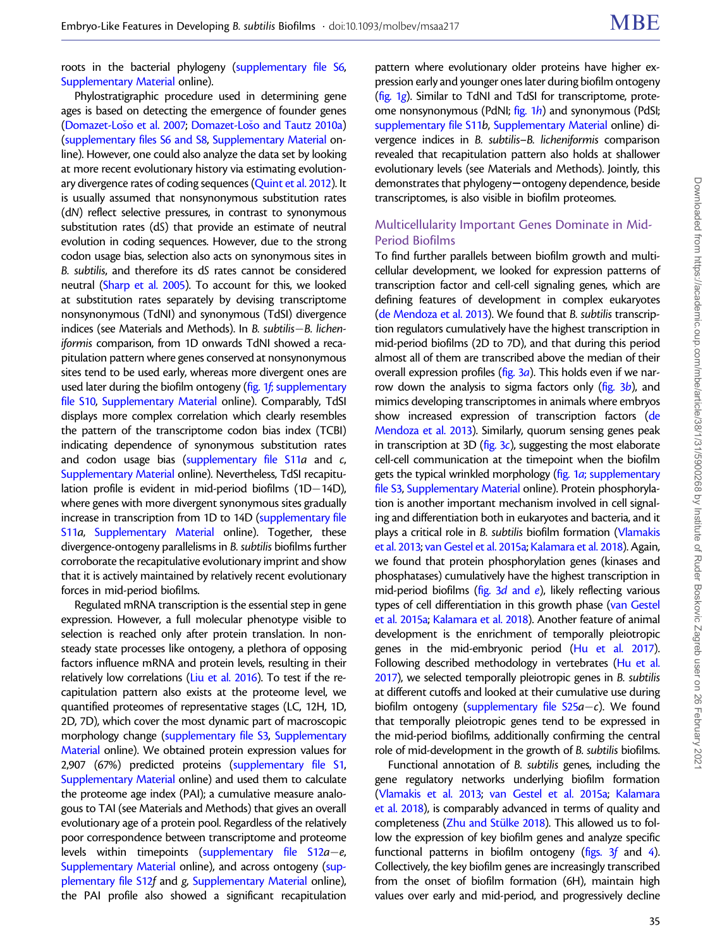roots in the bacterial phylogeny (supplementary file S6, Supplementary Material online).

Phylostratigraphic procedure used in determining gene ages is based on detecting the emergence of founder genes ([Domazet-Lo](#page-15-0)š[o et al. 2007](#page-14-0); Domazet-Loš[o and Tautz 2010a](#page-15-0)) (supplementary files S6 and S8, Supplementary Material online). However, one could also analyze the data set by looking at more recent evolutionary history via estimating evolutionary divergence rates of coding sequences [\(Quint et al. 2012](#page-16-0)). It is usually assumed that nonsynonymous substitution rates (dN) reflect selective pressures, in contrast to synonymous substitution rates (dS) that provide an estimate of neutral evolution in coding sequences. However, due to the strong codon usage bias, selection also acts on synonymous sites in B. subtilis, and therefore its dS rates cannot be considered neutral [\(Sharp et al. 2005\)](#page-16-0). To account for this, we looked at substitution rates separately by devising transcriptome nonsynonymous (TdNI) and synonymous (TdSI) divergence indices (see Materials and Methods). In B. subtilis-B. licheniformis comparison, from 1D onwards TdNI showed a recapitulation pattern where genes conserved at nonsynonymous sites tend to be used early, whereas more divergent ones are used later during the biofilm ontogeny [\(fig. 1](#page-2-0)f; supplementary file S10, Supplementary Material online). Comparably, TdSI displays more complex correlation which clearly resembles the pattern of the transcriptome codon bias index (TCBI) indicating dependence of synonymous substitution rates and codon usage bias (supplementary file S11a and c, Supplementary Material online). Nevertheless, TdSI recapitulation profile is evident in mid-period biofilms (1D-14D), where genes with more divergent synonymous sites gradually increase in transcription from 1D to 14D (supplementary file S11a, Supplementary Material online). Together, these divergence-ontogeny parallelisms in B. subtilis biofilms further corroborate the recapitulative evolutionary imprint and show that it is actively maintained by relatively recent evolutionary forces in mid-period biofilms.

Regulated mRNA transcription is the essential step in gene expression. However, a full molecular phenotype visible to selection is reached only after protein translation. In nonsteady state processes like ontogeny, a plethora of opposing factors influence mRNA and protein levels, resulting in their relatively low correlations ([Liu et al. 2016](#page-15-0)). To test if the recapitulation pattern also exists at the proteome level, we quantified proteomes of representative stages (LC, 12H, 1D, 2D, 7D), which cover the most dynamic part of macroscopic morphology change (supplementary file S3, Supplementary Material online). We obtained protein expression values for 2,907 (67%) predicted proteins (supplementary file S1, Supplementary Material online) and used them to calculate the proteome age index (PAI); a cumulative measure analogous to TAI (see Materials and Methods) that gives an overall evolutionary age of a protein pool. Regardless of the relatively poor correspondence between transcriptome and proteome levels within timepoints (<mark>supplementary file S12a $-e$ </mark>, Supplementary Material online), and across ontogeny (supplementary file S12f and g, Supplementary Material online), the PAI profile also showed a significant recapitulation

pattern where evolutionary older proteins have higher expression early and younger ones later during biofilm ontogeny [\(fig. 1](#page-2-0)g). Similar to TdNI and TdSI for transcriptome, proteome nonsynonymous (PdNI; [fig. 1](#page-2-0)h) and synonymous (PdSI; supplementary file S11b, Supplementary Material online) divergence indices in B. subtilis–B. licheniformis comparison revealed that recapitulation pattern also holds at shallower evolutionary levels (see Materials and Methods). Jointly, this demonstrates that phylogeny-ontogeny dependence, beside transcriptomes, is also visible in biofilm proteomes.

## Multicellularity Important Genes Dominate in Mid-Period Biofilms

To find further parallels between biofilm growth and multicellular development, we looked for expression patterns of transcription factor and cell-cell signaling genes, which are defining features of development in complex eukaryotes [\(de Mendoza et al. 2013](#page-15-0)). We found that B. subtilis transcription regulators cumulatively have the highest transcription in mid-period biofilms (2D to 7D), and that during this period almost all of them are transcribed above the median of their overall expression profiles ( $f_1g_2$ ,  $3a$ ). This holds even if we narrow down the analysis to sigma factors only ([fig. 3](#page-5-0)b), and mimics developing transcriptomes in animals where embryos show increased expression of transcription factors [\(de](#page-15-0) [Mendoza et al. 2013](#page-15-0)). Similarly, quorum sensing genes peak in transcription at 3D ( $fig. 3c$ ), suggesting the most elaborate cell-cell communication at the timepoint when the biofilm gets the typical wrinkled morphology [\(fig. 1](#page-2-0)a; supplementary file S3, Supplementary Material online). Protein phosphorylation is another important mechanism involved in cell signaling and differentiation both in eukaryotes and bacteria, and it plays a critical role in B. subtilis biofilm formation ([Vlamakis](#page-16-0) [et al. 2013](#page-16-0); [van Gestel et al. 2015a](#page-15-0); [Kalamara et al. 2018\)](#page-15-0). Again, we found that protein phosphorylation genes (kinases and phosphatases) cumulatively have the highest transcription in mid-period biofilms ( $fig. 3d$  and e), likely reflecting various types of cell differentiation in this growth phase ([van Gestel](#page-15-0) [et al. 2015a;](#page-15-0) [Kalamara et al. 2018\)](#page-15-0). Another feature of animal development is the enrichment of temporally pleiotropic genes in the mid-embryonic period [\(Hu et al. 2017\)](#page-15-0). Following described methodology in vertebrates [\(Hu et al.](#page-15-0) [2017\)](#page-15-0), we selected temporally pleiotropic genes in B. subtilis at different cutoffs and looked at their cumulative use during biofilm ontogeny (supplementary file  $S25a-c$ ). We found that temporally pleiotropic genes tend to be expressed in the mid-period biofilms, additionally confirming the central role of mid-development in the growth of B. subtilis biofilms.

Functional annotation of B. subtilis genes, including the gene regulatory networks underlying biofilm formation [\(Vlamakis et al. 2013](#page-16-0); [van Gestel et al. 2015a](#page-15-0); [Kalamara](#page-15-0) [et al. 2018](#page-15-0)), is comparably advanced in terms of quality and completeness (Zhu and Stülke 2018). This allowed us to follow the expression of key biofilm genes and analyze specific functional patterns in biofilm ontogeny ( $figs. 3f$  $figs. 3f$  and [4\)](#page-7-0). Collectively, the key biofilm genes are increasingly transcribed from the onset of biofilm formation (6H), maintain high values over early and mid-period, and progressively decline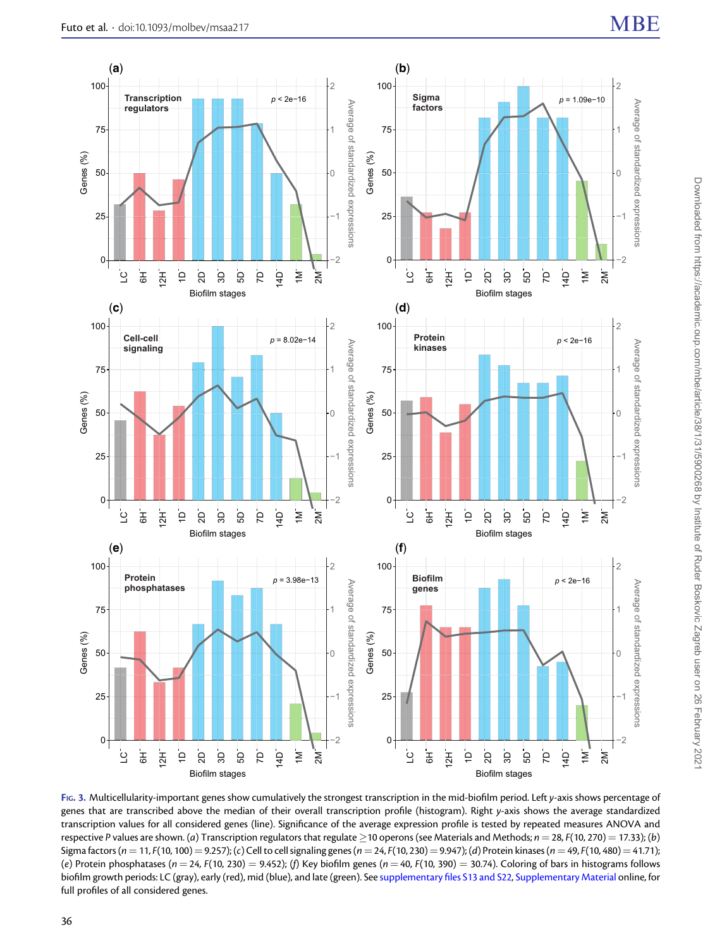<span id="page-5-0"></span>

FIG. 3. Multicellularity-important genes show cumulatively the strongest transcription in the mid-biofilm period. Left y-axis shows percentage of genes that are transcribed above the median of their overall transcription profile (histogram). Right y-axis shows the average standardized transcription values for all considered genes (line). Significance of the average expression profile is tested by repeated measures ANOVA and respective P values are shown. (a) Transcription regulators that regulate  $\geq$  10 operons (see Materials and Methods; n = 28, F(10, 270) = 17.33); (b) Sigma factors (n = 11, F(10, 100) = 9.257); (c) Cell to cell signaling genes (n = 24, F(10, 230) = 9.947); (d) Protein kinases (n = 49, F(10, 480) = 41.71); (e) Protein phosphatases ( $n = 24$ , F(10, 230) = 9.452); (f) Key biofilm genes ( $n = 40$ , F(10, 390) = 30.74). Coloring of bars in histograms follows biofilm growth periods: LC (gray), early (red), mid (blue), and late (green). See supplementary files S13 and S22, Supplementary Material online, for full profiles of all considered genes.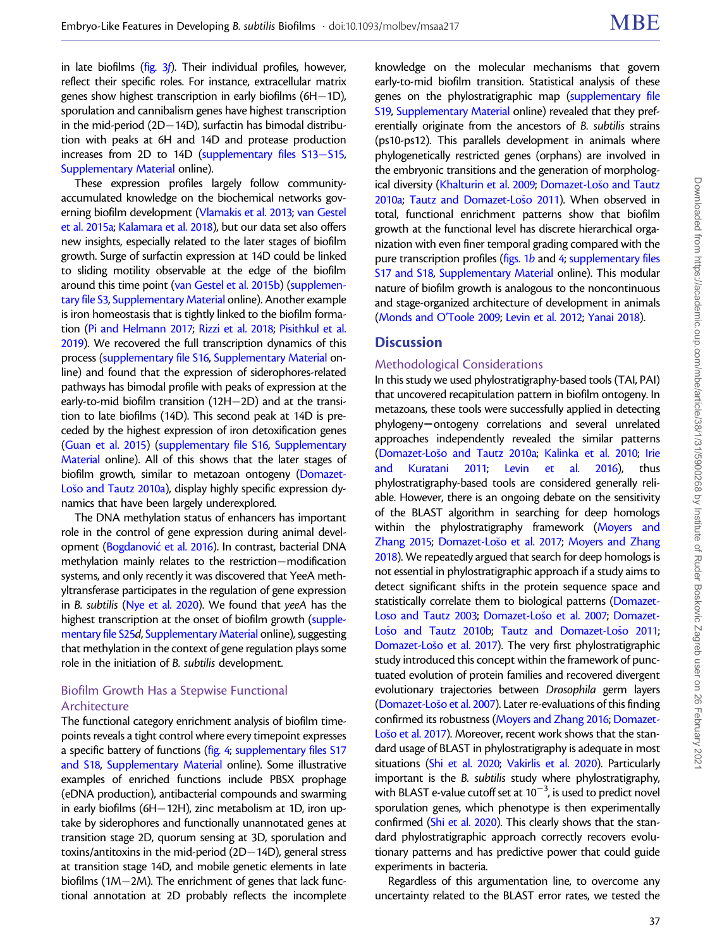in late biofilms ([fig. 3](#page-5-0)f). Their individual profiles, however, reflect their specific roles. For instance, extracellular matrix genes show highest transcription in early biofilms (6H-1D), sporulation and cannibalism genes have highest transcription in the mid-period (2D-14D), surfactin has bimodal distribution with peaks at 6H and 14D and protease production increases from 2D to 14D (<mark>supplementary files S13–S15,</mark> Supplementary Material online).

These expression profiles largely follow communityaccumulated knowledge on the biochemical networks governing biofilm development [\(Vlamakis et al. 2013;](#page-16-0) [van Gestel](#page-15-0) [et al. 2015a;](#page-15-0) [Kalamara et al. 2018](#page-15-0)), but our data set also offers new insights, especially related to the later stages of biofilm growth. Surge of surfactin expression at 14D could be linked to sliding motility observable at the edge of the biofilm around this time point [\(van Gestel et al. 2015b\)](#page-15-0) (supplementary file S3, Supplementary Material online). Another example is iron homeostasis that is tightly linked to the biofilm formation ([Pi and Helmann 2017;](#page-16-0) [Rizzi et al. 2018](#page-16-0); [Pisithkul et al.](#page-16-0) [2019\)](#page-16-0). We recovered the full transcription dynamics of this process (supplementary file S16, Supplementary Material online) and found that the expression of siderophores-related pathways has bimodal profile with peaks of expression at the early-to-mid biofilm transition (12H-2D) and at the transition to late biofilms (14D). This second peak at 14D is preceded by the highest expression of iron detoxification genes ([Guan et al. 2015\)](#page-15-0) (supplementary file S16, Supplementary Material online). All of this shows that the later stages of biofilm growth, similar to metazoan ontogeny [\(Domazet-](#page-15-0)[Lo](#page-15-0)šo and Tautz 2010a), display highly specific expression dynamics that have been largely underexplored.

The DNA methylation status of enhancers has important role in the control of gene expression during animal devel-opment ([Bogdanovi](#page-14-0)ć [et al. 2016\)](#page-14-0). In contrast, bacterial DNA methylation mainly relates to the restriction-modification systems, and only recently it was discovered that YeeA methyltransferase participates in the regulation of gene expression in B. subtilis [\(Nye et al. 2020\)](#page-16-0). We found that yeeA has the highest transcription at the onset of biofilm growth (supplementary file S25d, Supplementary Material online), suggesting that methylation in the context of gene regulation plays some role in the initiation of B. subtilis development.

## Biofilm Growth Has a Stepwise Functional Architecture

The functional category enrichment analysis of biofilm timepoints reveals a tight control where every timepoint expresses a specific battery of functions [\(fig. 4;](#page-7-0) supplementary files S17 and S18, Supplementary Material online). Some illustrative examples of enriched functions include PBSX prophage (eDNA production), antibacterial compounds and swarming in early biofilms (6H-12H), zinc metabolism at 1D, iron uptake by siderophores and functionally unannotated genes at transition stage 2D, quorum sensing at 3D, sporulation and toxins/antitoxins in the mid-period (2D-14D), general stress at transition stage 14D, and mobile genetic elements in late biofilms (1M-2M). The enrichment of genes that lack functional annotation at 2D probably reflects the incomplete

knowledge on the molecular mechanisms that govern early-to-mid biofilm transition. Statistical analysis of these genes on the phylostratigraphic map (supplementary file S19, Supplementary Material online) revealed that they preferentially originate from the ancestors of B. subtilis strains (ps10-ps12). This parallels development in animals where phylogenetically restricted genes (orphans) are involved in the embryonic transitions and the generation of morpholog-ical diversity ([Khalturin et al. 2009](#page-15-0); [Domazet-Lo](#page-15-0)šo and Tautz [2010a;](#page-15-0) [Tautz and Domazet-Lo](#page-16-0)š[o 2011](#page-16-0)). When observed in total, functional enrichment patterns show that biofilm growth at the functional level has discrete hierarchical organization with even finer temporal grading compared with the pure transcription profiles [\(figs. 1](#page-2-0)b and [4;](#page-7-0) supplementary files S17 and S18, Supplementary Material online). This modular nature of biofilm growth is analogous to the noncontinuous and stage-organized architecture of development in animals [\(Monds and O'Toole 2009;](#page-15-0) [Levin et al. 2012](#page-15-0); [Yanai 2018\)](#page-16-0).

# **Discussion**

## Methodological Considerations

In this study we used phylostratigraphy-based tools (TAI, PAI) that uncovered recapitulation pattern in biofilm ontogeny. In metazoans, these tools were successfully applied in detecting phylogeny-ontogeny correlations and several unrelated approaches independently revealed the similar patterns [\(Domazet-Lo](#page-15-0)š[o and Tautz 2010a;](#page-15-0) [Kalinka et al. 2010;](#page-15-0) [Irie](#page-15-0) [and Kuratani 2011;](#page-15-0) [Levin et al. 2016\)](#page-15-0), thus phylostratigraphy-based tools are considered generally reliable. However, there is an ongoing debate on the sensitivity of the BLAST algorithm in searching for deep homologs within the phylostratigraphy framework ([Moyers and](#page-16-0) [Zhang 2015](#page-16-0); [Domazet-Lo](#page-14-0)š[o et al. 2017](#page-14-0); [Moyers and Zhang](#page-16-0) [2018\)](#page-16-0). We repeatedly argued that search for deep homologs is not essential in phylostratigraphic approach if a study aims to detect significant shifts in the protein sequence space and statistically correlate them to biological patterns [\(Domazet-](#page-14-0)[Loso and Tautz 2003;](#page-14-0) [Domazet-Lo](#page-14-0)šo et al. 2007; [Domazet-](#page-15-0)[Lo](#page-15-0)šo and Tautz 2010b; [Tautz and Domazet-Lo](#page-16-0)šo 2011; [Domazet-Lo](#page-14-0)š[o et al. 2017](#page-14-0)). The very first phylostratigraphic study introduced this concept within the framework of punctuated evolution of protein families and recovered divergent evolutionary trajectories between Drosophila germ layers [\(Domazet-Lo](#page-14-0)š[o et al. 2007](#page-14-0)). Later re-evaluations of this finding confirmed its robustness [\(Moyers and Zhang 2016](#page-16-0); [Domazet-](#page-14-0)[Lo](#page-14-0)šo et al. 2017). Moreover, recent work shows that the standard usage of BLAST in phylostratigraphy is adequate in most situations [\(Shi et al. 2020](#page-16-0); [Vakirlis et al. 2020](#page-16-0)). Particularly important is the B. subtilis study where phylostratigraphy, with BLAST e-value cutoff set at  $10^{-3}$ , is used to predict novel sporulation genes, which phenotype is then experimentally confirmed [\(Shi et al. 2020\)](#page-16-0). This clearly shows that the standard phylostratigraphic approach correctly recovers evolutionary patterns and has predictive power that could guide experiments in bacteria.

Regardless of this argumentation line, to overcome any uncertainty related to the BLAST error rates, we tested the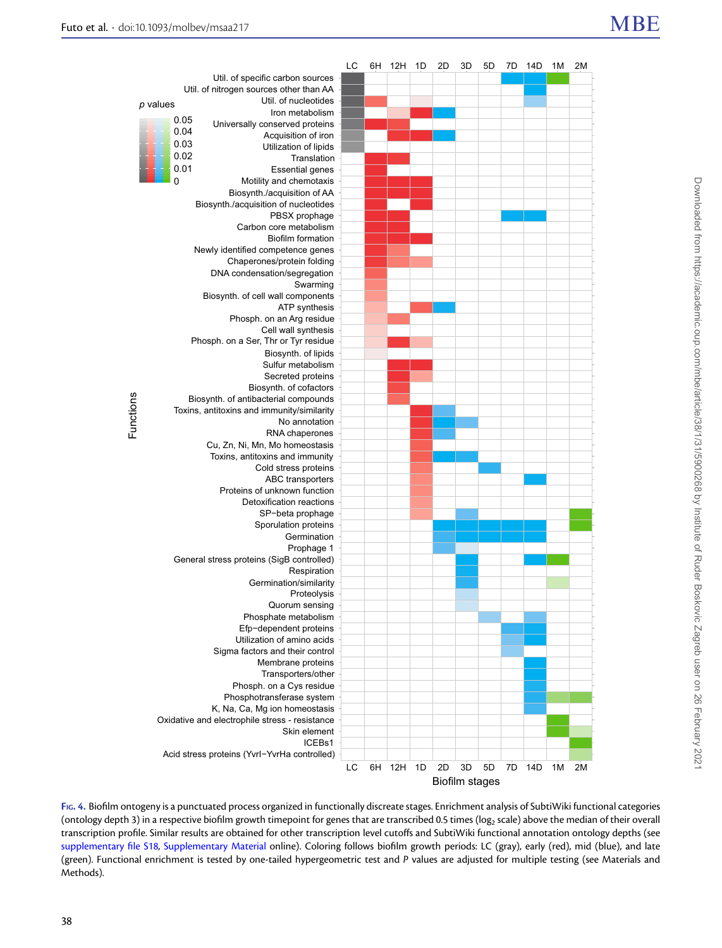<span id="page-7-0"></span>

FIG. 4. Biofilm ontogeny is a punctuated process organized in functionally discreate stages. Enrichment analysis of SubtiWiki functional categories (ontology depth 3) in a respective biofilm growth timepoint for genes that are transcribed 0.5 times (log<sub>2</sub> scale) above the median of their overall transcription profile. Similar results are obtained for other transcription level cutoffs and SubtiWiki functional annotation ontology depths (see supplementary file S18, Supplementary Material online). Coloring follows biofilm growth periods: LC (gray), early (red), mid (blue), and late (green). Functional enrichment is tested by one-tailed hypergeometric test and P values are adjusted for multiple testing (see Materials and Methods).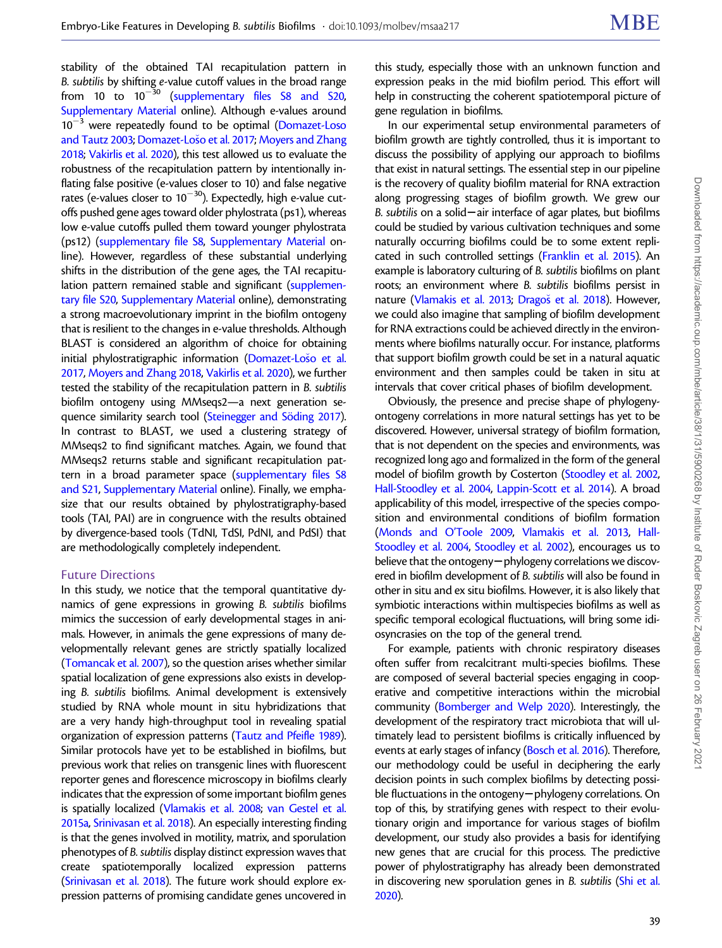stability of the obtained TAI recapitulation pattern in B. subtilis by shifting e-value cutoff values in the broad range from 10 to  $10^{-30}$  (supplementary files S8 and S20, Supplementary Material online). Although e-values around  $10^{-3}$  were repeatedly found to be optimal ([Domazet-Loso](#page-14-0) [and Tautz 2003;](#page-14-0) [Domazet-Lo](#page-14-0)š[o et al. 2017;](#page-14-0) [Moyers and Zhang](#page-16-0) [2018;](#page-16-0) [Vakirlis et al. 2020\)](#page-16-0), this test allowed us to evaluate the robustness of the recapitulation pattern by intentionally inflating false positive (e-values closer to 10) and false negative rates (e-values closer to  $10^{-30}$ ). Expectedly, high e-value cutoffs pushed gene ages toward older phylostrata (ps1), whereas low e-value cutoffs pulled them toward younger phylostrata (ps12) (supplementary file S8, Supplementary Material online). However, regardless of these substantial underlying shifts in the distribution of the gene ages, the TAI recapitulation pattern remained stable and significant (supplementary file S20, Supplementary Material online), demonstrating a strong macroevolutionary imprint in the biofilm ontogeny that is resilient to the changes in e-value thresholds. Although BLAST is considered an algorithm of choice for obtaining initial phylostratigraphic information (<mark>[Domazet-Lo](#page-14-0)š[o et al.](#page-14-0)</mark> [2017,](#page-14-0) [Moyers and Zhang 2018,](#page-16-0) [Vakirlis et al. 2020](#page-16-0)), we further tested the stability of the recapitulation pattern in B. subtilis biofilm ontogeny using MMseqs2—a next generation sequence similarity search tool (Steinegger and Söding 2017). In contrast to BLAST, we used a clustering strategy of MMseqs2 to find significant matches. Again, we found that MMseqs2 returns stable and significant recapitulation pattern in a broad parameter space (supplementary files S8 and S21, Supplementary Material online). Finally, we emphasize that our results obtained by phylostratigraphy-based tools (TAI, PAI) are in congruence with the results obtained by divergence-based tools (TdNI, TdSI, PdNI, and PdSI) that are methodologically completely independent.

## Future Directions

In this study, we notice that the temporal quantitative dynamics of gene expressions in growing B. subtilis biofilms mimics the succession of early developmental stages in animals. However, in animals the gene expressions of many developmentally relevant genes are strictly spatially localized ([Tomancak et al. 2007](#page-16-0)), so the question arises whether similar spatial localization of gene expressions also exists in developing B. subtilis biofilms. Animal development is extensively studied by RNA whole mount in situ hybridizations that are a very handy high-throughput tool in revealing spatial organization of expression patterns [\(Tautz and Pfeifle 1989\)](#page-16-0). Similar protocols have yet to be established in biofilms, but previous work that relies on transgenic lines with fluorescent reporter genes and florescence microscopy in biofilms clearly indicates that the expression of some important biofilm genes is spatially localized ([Vlamakis et al. 2008](#page-16-0); [van Gestel et al.](#page-15-0) [2015a](#page-15-0), [Srinivasan et al. 2018](#page-16-0)). An especially interesting finding is that the genes involved in motility, matrix, and sporulation phenotypes of B. subtilis display distinct expression waves that create spatiotemporally localized expression patterns ([Srinivasan et al. 2018](#page-16-0)). The future work should explore expression patterns of promising candidate genes uncovered in

this study, especially those with an unknown function and expression peaks in the mid biofilm period. This effort will help in constructing the coherent spatiotemporal picture of gene regulation in biofilms.

In our experimental setup environmental parameters of biofilm growth are tightly controlled, thus it is important to discuss the possibility of applying our approach to biofilms that exist in natural settings. The essential step in our pipeline is the recovery of quality biofilm material for RNA extraction along progressing stages of biofilm growth. We grew our B. subtilis on a solid-air interface of agar plates, but biofilms could be studied by various cultivation techniques and some naturally occurring biofilms could be to some extent replicated in such controlled settings [\(Franklin et al. 2015](#page-15-0)). An example is laboratory culturing of B. subtilis biofilms on plant roots; an environment where B. subtilis biofilms persist in nature ([Vlamakis et al. 2013;](#page-16-0) [Drago](#page-15-0)š et al. 2018). However, we could also imagine that sampling of biofilm development for RNA extractions could be achieved directly in the environments where biofilms naturally occur. For instance, platforms that support biofilm growth could be set in a natural aquatic environment and then samples could be taken in situ at intervals that cover critical phases of biofilm development.

Obviously, the presence and precise shape of phylogenyontogeny correlations in more natural settings has yet to be discovered. However, universal strategy of biofilm formation, that is not dependent on the species and environments, was recognized long ago and formalized in the form of the general model of biofilm growth by Costerton [\(Stoodley et al. 2002,](#page-16-0) [Hall-Stoodley et al. 2004,](#page-15-0) [Lappin-Scott et al. 2014\)](#page-15-0). A broad applicability of this model, irrespective of the species composition and environmental conditions of biofilm formation [\(Monds and O'Toole 2009,](#page-15-0) [Vlamakis et al. 2013](#page-16-0), [Hall-](#page-15-0)[Stoodley et al. 2004,](#page-15-0) [Stoodley et al. 2002](#page-16-0)), encourages us to believe that the ontogeny  $-p$  hylogeny correlations we discovered in biofilm development of B. subtilis will also be found in other in situ and ex situ biofilms. However, it is also likely that symbiotic interactions within multispecies biofilms as well as specific temporal ecological fluctuations, will bring some idiosyncrasies on the top of the general trend.

For example, patients with chronic respiratory diseases often suffer from recalcitrant multi-species biofilms. These are composed of several bacterial species engaging in cooperative and competitive interactions within the microbial community ([Bomberger and Welp 2020\)](#page-14-0). Interestingly, the development of the respiratory tract microbiota that will ultimately lead to persistent biofilms is critically influenced by events at early stages of infancy ([Bosch et al. 2016](#page-14-0)). Therefore, our methodology could be useful in deciphering the early decision points in such complex biofilms by detecting possible fluctuations in the ontogeny-phylogeny correlations. On top of this, by stratifying genes with respect to their evolutionary origin and importance for various stages of biofilm development, our study also provides a basis for identifying new genes that are crucial for this process. The predictive power of phylostratigraphy has already been demonstrated in discovering new sporulation genes in B. subtilis [\(Shi et al.](#page-16-0) [2020\)](#page-16-0).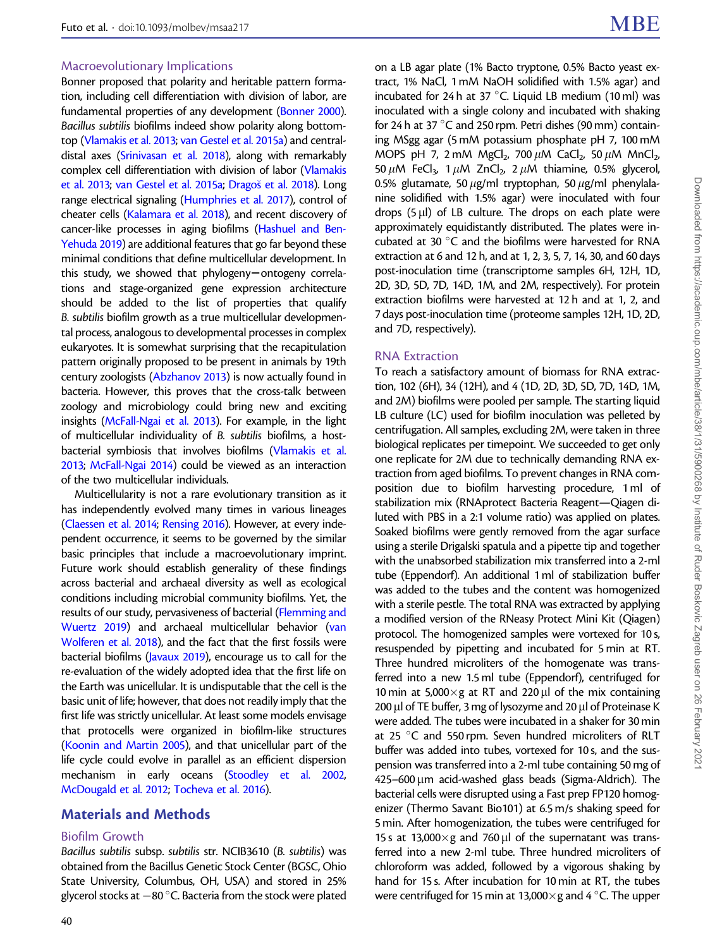#### Macroevolutionary Implications

Bonner proposed that polarity and heritable pattern formation, including cell differentiation with division of labor, are fundamental properties of any development [\(Bonner 2000\)](#page-14-0). Bacillus subtilis biofilms indeed show polarity along bottomtop [\(Vlamakis et al. 2013;](#page-16-0) [van Gestel et al. 2015a\)](#page-15-0) and centraldistal axes [\(Srinivasan et al. 2018\)](#page-16-0), along with remarkably complex cell differentiation with division of labor [\(Vlamakis](#page-16-0) [et al. 2013;](#page-16-0) [van Gestel et al. 2015a;](#page-15-0) [Drago](#page-15-0)š [et al. 2018\)](#page-15-0). Long range electrical signaling [\(Humphries et al. 2017\)](#page-15-0), control of cheater cells [\(Kalamara et al. 2018](#page-15-0)), and recent discovery of cancer-like processes in aging biofilms [\(Hashuel and Ben-](#page-15-0)[Yehuda 2019\)](#page-15-0) are additional features that go far beyond these minimal conditions that define multicellular development. In this study, we showed that phylogeny-ontogeny correlations and stage-organized gene expression architecture should be added to the list of properties that qualify B. subtilis biofilm growth as a true multicellular developmental process, analogous to developmental processes in complex eukaryotes. It is somewhat surprising that the recapitulation pattern originally proposed to be present in animals by 19th century zoologists [\(Abzhanov 2013\)](#page-14-0) is now actually found in bacteria. However, this proves that the cross-talk between zoology and microbiology could bring new and exciting insights ([McFall-Ngai et al. 2013\)](#page-15-0). For example, in the light of multicellular individuality of B. subtilis biofilms, a hostbacterial symbiosis that involves biofilms [\(Vlamakis et al.](#page-16-0) [2013;](#page-16-0) [McFall-Ngai 2014\)](#page-15-0) could be viewed as an interaction of the two multicellular individuals.

Multicellularity is not a rare evolutionary transition as it has independently evolved many times in various lineages ([Claessen et al. 2014](#page-14-0); [Rensing 2016](#page-16-0)). However, at every independent occurrence, it seems to be governed by the similar basic principles that include a macroevolutionary imprint. Future work should establish generality of these findings across bacterial and archaeal diversity as well as ecological conditions including microbial community biofilms. Yet, the results of our study, pervasiveness of bacterial [\(Flemming and](#page-15-0) [Wuertz 2019](#page-15-0)) and archaeal multicellular behavior ([van](#page-16-0) [Wolferen et al. 2018\)](#page-16-0), and the fact that the first fossils were bacterial biofilms [\(Javaux 2019](#page-15-0)), encourage us to call for the re-evaluation of the widely adopted idea that the first life on the Earth was unicellular. It is undisputable that the cell is the basic unit of life; however, that does not readily imply that the first life was strictly unicellular. At least some models envisage that protocells were organized in biofilm-like structures ([Koonin and Martin 2005\)](#page-15-0), and that unicellular part of the life cycle could evolve in parallel as an efficient dispersion mechanism in early oceans [\(Stoodley et al. 2002,](#page-16-0) [McDougald et al. 2012;](#page-15-0) [Tocheva et al. 2016\)](#page-16-0).

# Materials and Methods

#### Biofilm Growth

Bacillus subtilis subsp. subtilis str. NCIB3610 (B. subtilis) was obtained from the Bacillus Genetic Stock Center (BGSC, Ohio State University, Columbus, OH, USA) and stored in 25% glycerol stocks at  $-$ 80  $^{\circ}$ C. Bacteria from the stock were plated

on a LB agar plate (1% Bacto tryptone, 0.5% Bacto yeast extract, 1% NaCl, 1 mM NaOH solidified with 1.5% agar) and incubated for 24 h at 37 °C. Liquid LB medium (10 ml) was inoculated with a single colony and incubated with shaking for 24 h at 37  $\degree$ C and 250 rpm. Petri dishes (90 mm) containing MSgg agar (5 mM potassium phosphate pH 7, 100 mM MOPS pH 7, 2 mM MgCl<sub>2</sub>, 700  $\mu$ M CaCl<sub>2</sub>, 50  $\mu$ M MnCl<sub>2</sub>, 50  $\mu$ M FeCl<sub>3</sub>, 1  $\mu$ M ZnCl<sub>2</sub>, 2  $\mu$ M thiamine, 0.5% glycerol, 0.5% glutamate, 50  $\mu$ g/ml tryptophan, 50  $\mu$ g/ml phenylalanine solidified with 1.5% agar) were inoculated with four drops  $(5 \mu l)$  of LB culture. The drops on each plate were approximately equidistantly distributed. The plates were incubated at 30 $\degree$ C and the biofilms were harvested for RNA extraction at 6 and 12 h, and at 1, 2, 3, 5, 7, 14, 30, and 60 days post-inoculation time (transcriptome samples 6H, 12H, 1D, 2D, 3D, 5D, 7D, 14D, 1M, and 2M, respectively). For protein extraction biofilms were harvested at 12 h and at 1, 2, and 7 days post-inoculation time (proteome samples 12H, 1D, 2D, and 7D, respectively).

#### RNA Extraction

To reach a satisfactory amount of biomass for RNA extraction, 102 (6H), 34 (12H), and 4 (1D, 2D, 3D, 5D, 7D, 14D, 1M, and 2M) biofilms were pooled per sample. The starting liquid LB culture (LC) used for biofilm inoculation was pelleted by centrifugation. All samples, excluding 2M, were taken in three biological replicates per timepoint. We succeeded to get only one replicate for 2M due to technically demanding RNA extraction from aged biofilms. To prevent changes in RNA composition due to biofilm harvesting procedure, 1 ml of stabilization mix (RNAprotect Bacteria Reagent—Qiagen diluted with PBS in a 2:1 volume ratio) was applied on plates. Soaked biofilms were gently removed from the agar surface using a sterile Drigalski spatula and a pipette tip and together with the unabsorbed stabilization mix transferred into a 2-ml tube (Eppendorf). An additional 1 ml of stabilization buffer was added to the tubes and the content was homogenized with a sterile pestle. The total RNA was extracted by applying a modified version of the RNeasy Protect Mini Kit (Qiagen) protocol. The homogenized samples were vortexed for 10 s, resuspended by pipetting and incubated for 5 min at RT. Three hundred microliters of the homogenate was transferred into a new 1.5 ml tube (Eppendorf), centrifuged for 10 min at 5,000 $\times$ g at RT and 220 µl of the mix containing 200  $\mu$ l of TE buffer, 3 mg of lysozyme and 20  $\mu$ l of Proteinase K were added. The tubes were incubated in a shaker for 30 min at 25 $\degree$ C and 550 rpm. Seven hundred microliters of RLT buffer was added into tubes, vortexed for 10 s, and the suspension was transferred into a 2-ml tube containing 50 mg of  $425-600 \,\mu m$  acid-washed glass beads (Sigma-Aldrich). The bacterial cells were disrupted using a Fast prep FP120 homogenizer (Thermo Savant Bio101) at 6.5 m/s shaking speed for 5 min. After homogenization, the tubes were centrifuged for 15 s at 13,000 $\times$ g and 760 µl of the supernatant was transferred into a new 2-ml tube. Three hundred microliters of chloroform was added, followed by a vigorous shaking by hand for 15 s. After incubation for 10 min at RT, the tubes were centrifuged for 15 min at 13,000 $\times$ g and 4 °C. The upper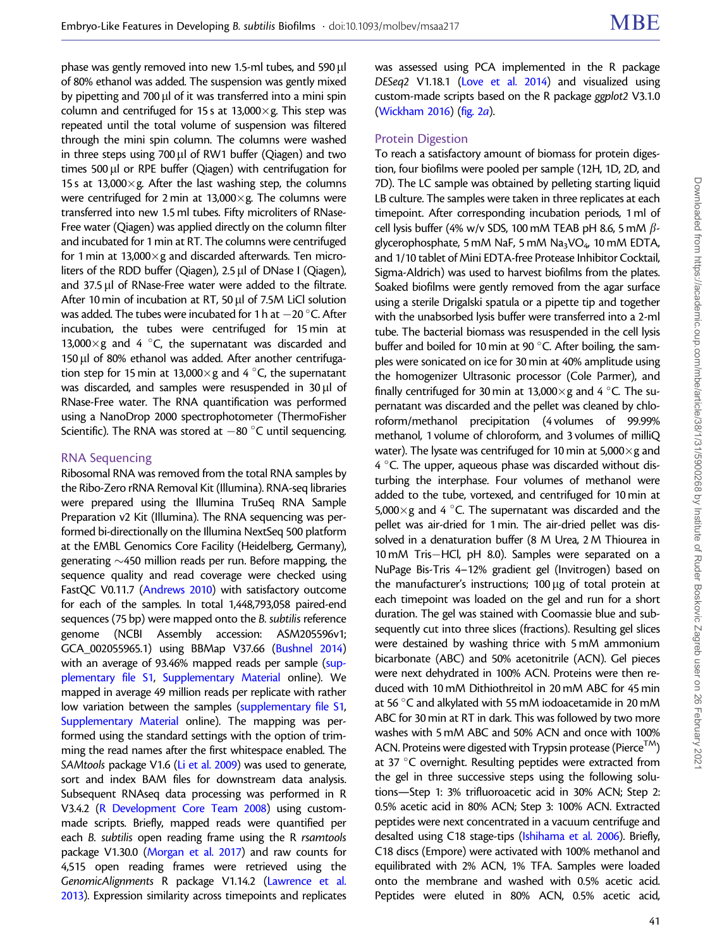phase was gently removed into new 1.5-ml tubes, and 590 µl of 80% ethanol was added. The suspension was gently mixed by pipetting and 700  $\mu$ l of it was transferred into a mini spin column and centrifuged for 15 s at 13,000 $\times$ g. This step was repeated until the total volume of suspension was filtered through the mini spin column. The columns were washed in three steps using 700 µl of RW1 buffer (Qiagen) and two times 500 µl or RPE buffer (Qiagen) with centrifugation for 15 s at 13,000 $\times$ g. After the last washing step, the columns were centrifuged for 2 min at  $13,000 \times g$ . The columns were transferred into new 1.5 ml tubes. Fifty microliters of RNase-Free water (Qiagen) was applied directly on the column filter and incubated for 1 min at RT. The columns were centrifuged for 1 min at 13,000 $\times$ g and discarded afterwards. Ten microliters of the RDD buffer (Qiagen),  $2.5 \mu$ l of DNase I (Qiagen), and  $37.5 \mu$ l of RNase-Free water were added to the filtrate. After 10 min of incubation at RT, 50  $\mu$ l of 7.5M LiCl solution was added. The tubes were incubated for 1 h at  $-$  20  $^{\circ}$ C. After incubation, the tubes were centrifuged for 15 min at 13,000 $\times$ g and 4  $\degree$ C, the supernatant was discarded and 150 µl of 80% ethanol was added. After another centrifugation step for 15 min at 13,000 $\times$ g and 4 °C, the supernatant was discarded, and samples were resuspended in  $30 \mu l$  of RNase-Free water. The RNA quantification was performed using a NanoDrop 2000 spectrophotometer (ThermoFisher Scientific). The RNA was stored at  $-80\,^{\circ}$ C until sequencing.

## RNA Sequencing

Ribosomal RNA was removed from the total RNA samples by the Ribo-Zero rRNA Removal Kit (Illumina). RNA-seq libraries were prepared using the Illumina TruSeq RNA Sample Preparation v2 Kit (Illumina). The RNA sequencing was performed bi-directionally on the Illumina NextSeq 500 platform at the EMBL Genomics Core Facility (Heidelberg, Germany), generating  $\sim$ 450 million reads per run. Before mapping, the sequence quality and read coverage were checked using FastQC V0.11.7 [\(Andrews 2010\)](#page-14-0) with satisfactory outcome for each of the samples. In total 1,448,793,058 paired-end sequences (75 bp) were mapped onto the B. subtilis reference genome (NCBI Assembly accession: ASM205596v1; GCA\_002055965.1) using BBMap V37.66 [\(Bushnel 2014](#page-14-0)) with an average of 93.46% mapped reads per sample (supplementary file S1, Supplementary Material online). We mapped in average 49 million reads per replicate with rather low variation between the samples (supplementary file S1, Supplementary Material online). The mapping was performed using the standard settings with the option of trimming the read names after the first whitespace enabled. The SAMtools package V1.6 [\(Li et al. 2009](#page-15-0)) was used to generate, sort and index BAM files for downstream data analysis. Subsequent RNAseq data processing was performed in R V3.4.2 [\(R Development Core Team 2008\)](#page-16-0) using custommade scripts. Briefly, mapped reads were quantified per each B. subtilis open reading frame using the R rsamtools package V1.30.0 [\(Morgan et al. 2017\)](#page-15-0) and raw counts for 4,515 open reading frames were retrieved using the GenomicAlignments R package V1.14.2 [\(Lawrence et al.](#page-15-0) [2013\)](#page-15-0). Expression similarity across timepoints and replicates was assessed using PCA implemented in the R package DESeq2 V1.18.1 ([Love et al. 2014](#page-15-0)) and visualized using custom-made scripts based on the R package ggplot2 V3.1.0 [\(Wickham 2016](#page-16-0)) [\(fig. 2](#page-3-0)a).

# Protein Digestion

To reach a satisfactory amount of biomass for protein digestion, four biofilms were pooled per sample (12H, 1D, 2D, and 7D). The LC sample was obtained by pelleting starting liquid LB culture. The samples were taken in three replicates at each timepoint. After corresponding incubation periods, 1 ml of cell lysis buffer (4% w/v SDS, 100 mM TEAB pH 8.6, 5 mM  $\beta$ glycerophosphate, 5 mM NaF, 5 mM Na<sub>3</sub>VO<sub>4</sub>, 10 mM EDTA, and 1/10 tablet of Mini EDTA-free Protease Inhibitor Cocktail, Sigma-Aldrich) was used to harvest biofilms from the plates. Soaked biofilms were gently removed from the agar surface using a sterile Drigalski spatula or a pipette tip and together with the unabsorbed lysis buffer were transferred into a 2-ml tube. The bacterial biomass was resuspended in the cell lysis buffer and boiled for 10 min at 90 $\degree$ C. After boiling, the samples were sonicated on ice for 30 min at 40% amplitude using the homogenizer Ultrasonic processor (Cole Parmer), and finally centrifuged for 30 min at 13,000 $\times$ g and 4  $\degree$ C. The supernatant was discarded and the pellet was cleaned by chloroform/methanol precipitation (4 volumes of 99.99% methanol, 1 volume of chloroform, and 3 volumes of milliQ water). The lysate was centrifuged for 10 min at  $5,000 \times g$  and  $4^{\circ}$ C. The upper, aqueous phase was discarded without disturbing the interphase. Four volumes of methanol were added to the tube, vortexed, and centrifuged for 10 min at 5,000 $\times$ g and 4 °C. The supernatant was discarded and the pellet was air-dried for 1 min. The air-dried pellet was dissolved in a denaturation buffer (8 M Urea, 2 M Thiourea in 10 mM Tris-HCl, pH 8.0). Samples were separated on a NuPage Bis-Tris 4–12% gradient gel (Invitrogen) based on the manufacturer's instructions;  $100 \mu$ g of total protein at each timepoint was loaded on the gel and run for a short duration. The gel was stained with Coomassie blue and subsequently cut into three slices (fractions). Resulting gel slices were destained by washing thrice with 5 mM ammonium bicarbonate (ABC) and 50% acetonitrile (ACN). Gel pieces were next dehydrated in 100% ACN. Proteins were then reduced with 10 mM Dithiothreitol in 20 mM ABC for 45 min at 56 $\degree$ C and alkylated with 55 mM iodoacetamide in 20 mM ABC for 30 min at RT in dark. This was followed by two more washes with 5 mM ABC and 50% ACN and once with 100% ACN. Proteins were digested with Trypsin protease (Pierce<sup>TM</sup>) at 37 °C overnight. Resulting peptides were extracted from the gel in three successive steps using the following solutions—Step 1: 3% trifluoroacetic acid in 30% ACN; Step 2: 0.5% acetic acid in 80% ACN; Step 3: 100% ACN. Extracted peptides were next concentrated in a vacuum centrifuge and desalted using C18 stage-tips [\(Ishihama et al. 2006\)](#page-15-0). Briefly, C18 discs (Empore) were activated with 100% methanol and equilibrated with 2% ACN, 1% TFA. Samples were loaded onto the membrane and washed with 0.5% acetic acid. Peptides were eluted in 80% ACN, 0.5% acetic acid,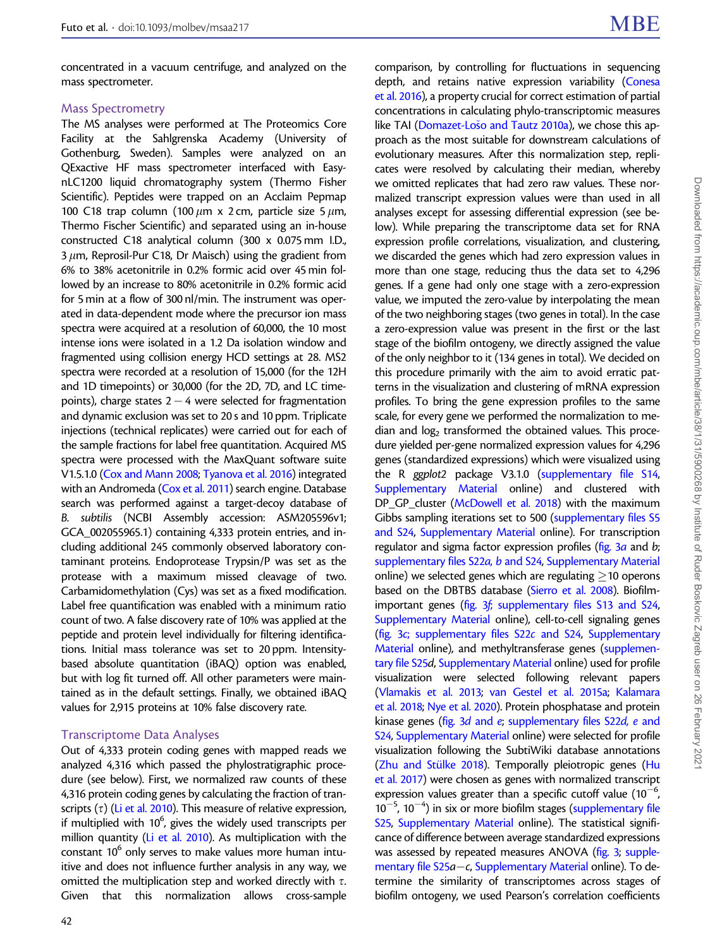concentrated in a vacuum centrifuge, and analyzed on the mass spectrometer.

## Mass Spectrometry

The MS analyses were performed at The Proteomics Core Facility at the Sahlgrenska Academy (University of Gothenburg, Sweden). Samples were analyzed on an QExactive HF mass spectrometer interfaced with EasynLC1200 liquid chromatography system (Thermo Fisher Scientific). Peptides were trapped on an Acclaim Pepmap 100 C18 trap column (100  $\mu$ m x 2 cm, particle size 5  $\mu$ m, Thermo Fischer Scientific) and separated using an in-house constructed C18 analytical column (300 x 0.075 mm I.D.,  $3 \mu$ m, Reprosil-Pur C18, Dr Maisch) using the gradient from 6% to 38% acetonitrile in 0.2% formic acid over 45 min followed by an increase to 80% acetonitrile in 0.2% formic acid for 5 min at a flow of 300 nl/min. The instrument was operated in data-dependent mode where the precursor ion mass spectra were acquired at a resolution of 60,000, the 10 most intense ions were isolated in a 1.2 Da isolation window and fragmented using collision energy HCD settings at 28. MS2 spectra were recorded at a resolution of 15,000 (for the 12H and 1D timepoints) or 30,000 (for the 2D, 7D, and LC timepoints), charge states  $2-4$  were selected for fragmentation and dynamic exclusion was set to 20 s and 10 ppm. Triplicate injections (technical replicates) were carried out for each of the sample fractions for label free quantitation. Acquired MS spectra were processed with the MaxQuant software suite V1.5.1.0 [\(Cox and Mann 2008](#page-14-0); [Tyanova et al. 2016\)](#page-16-0) integrated with an Andromeda ([Cox et al. 2011](#page-14-0)) search engine. Database search was performed against a target-decoy database of B. subtilis (NCBI Assembly accession: ASM205596v1; GCA\_002055965.1) containing 4,333 protein entries, and including additional 245 commonly observed laboratory contaminant proteins. Endoprotease Trypsin/P was set as the protease with a maximum missed cleavage of two. Carbamidomethylation (Cys) was set as a fixed modification. Label free quantification was enabled with a minimum ratio count of two. A false discovery rate of 10% was applied at the peptide and protein level individually for filtering identifications. Initial mass tolerance was set to 20 ppm. Intensitybased absolute quantitation (iBAQ) option was enabled, but with log fit turned off. All other parameters were maintained as in the default settings. Finally, we obtained iBAQ values for 2,915 proteins at 10% false discovery rate.

# Transcriptome Data Analyses

Out of 4,333 protein coding genes with mapped reads we analyzed 4,316 which passed the phylostratigraphic procedure (see below). First, we normalized raw counts of these 4,316 protein coding genes by calculating the fraction of transcripts  $(\tau)$  [\(Li et al. 2010](#page-15-0)). This measure of relative expression, if multiplied with  $10^6$ , gives the widely used transcripts per million quantity [\(Li et al. 2010\)](#page-15-0). As multiplication with the constant  $10^6$  only serves to make values more human intuitive and does not influence further analysis in any way, we omitted the multiplication step and worked directly with  $\tau$ . Given that this normalization allows cross-sample

Downloaded from https://academic.oup.com/mbe/article/38/1/31/5900268 by Institute of Ruder Boskovic Zagreb user on 26 February 2021 Downloaded from https://academic.oup.com/mbe/article/38/1/31/5900268 by Institute of Ruder Boskovic Zagreb user on 26 February 2021

[et al. 2016\)](#page-14-0), a property crucial for correct estimation of partial concentrations in calculating phylo-transcriptomic measures like TAI [\(Domazet-Lo](#page-15-0)šo and Tautz 2010a), we chose this approach as the most suitable for downstream calculations of evolutionary measures. After this normalization step, replicates were resolved by calculating their median, whereby we omitted replicates that had zero raw values. These normalized transcript expression values were than used in all analyses except for assessing differential expression (see below). While preparing the transcriptome data set for RNA expression profile correlations, visualization, and clustering, we discarded the genes which had zero expression values in more than one stage, reducing thus the data set to 4,296 genes. If a gene had only one stage with a zero-expression value, we imputed the zero-value by interpolating the mean of the two neighboring stages (two genes in total). In the case a zero-expression value was present in the first or the last stage of the biofilm ontogeny, we directly assigned the value of the only neighbor to it (134 genes in total). We decided on this procedure primarily with the aim to avoid erratic patterns in the visualization and clustering of mRNA expression profiles. To bring the gene expression profiles to the same scale, for every gene we performed the normalization to median and  $log<sub>2</sub>$  transformed the obtained values. This procedure yielded per-gene normalized expression values for 4,296 genes (standardized expressions) which were visualized using the R ggplot2 package V3.1.0 (supplementary file S14, Supplementary Material online) and clustered with DP\_GP\_cluster ([McDowell et al. 2018\)](#page-15-0) with the maximum Gibbs sampling iterations set to 500 (supplementary files S5 and S24, Supplementary Material online). For transcription regulator and sigma factor expression profiles ([fig. 3](#page-5-0)a and b; supplementary files S22a, b and S24, Supplementary Material online) we selected genes which are regulating  $\geq$  10 operons based on the DBTBS database ([Sierro et al. 2008\)](#page-16-0). Biofilmimportant genes ([fig. 3](#page-5-0)f; supplementary files S13 and S24, Supplementary Material online), cell-to-cell signaling genes [\(fig. 3](#page-5-0)c; supplementary files S22c and S24, Supplementary Material online), and methyltransferase genes (supplementary file S25d, Supplementary Material online) used for profile visualization were selected following relevant papers [\(Vlamakis et al. 2013](#page-16-0); [van Gestel et al. 2015a](#page-15-0); [Kalamara](#page-15-0) [et al. 2018](#page-15-0); [Nye et al. 2020](#page-16-0)). Protein phosphatase and protein kinase genes [\(fig. 3](#page-5-0)d and e; supplementary files S22d, e and S24, Supplementary Material online) were selected for profile visualization following the SubtiWiki database annotations (Zhu and Stülke 2018). Temporally pleiotropic genes ([Hu](#page-15-0) [et al. 2017\)](#page-15-0) were chosen as genes with normalized transcript expression values greater than a specific cutoff value  $(10^{-6}$ ,  $10^{-5}$ ,  $10^{-4}$ ) in six or more biofilm stages (supplementary file S25, Supplementary Material online). The statistical significance of difference between average standardized expressions was assessed by repeated measures ANOVA [\(fig. 3;](#page-5-0) supplementary file S25a-c, Supplementary Material online). To determine the similarity of transcriptomes across stages of biofilm ontogeny, we used Pearson's correlation coefficients

comparison, by controlling for fluctuations in sequencing depth, and retains native expression variability [\(Conesa](#page-14-0)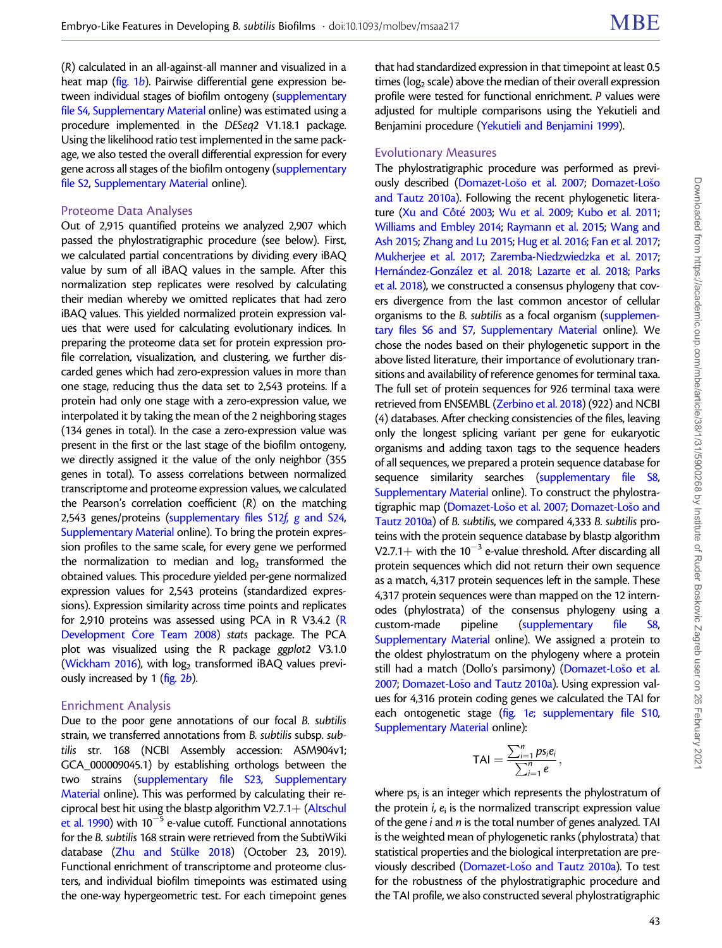(R) calculated in an all-against-all manner and visualized in a heat map ([fig. 1](#page-2-0)b). Pairwise differential gene expression between individual stages of biofilm ontogeny (supplementary file S4, Supplementary Material online) was estimated using a procedure implemented in the DESeq2 V1.18.1 package. Using the likelihood ratio test implemented in the same package, we also tested the overall differential expression for every gene across all stages of the biofilm ontogeny (supplementary file S2, Supplementary Material online).

#### Proteome Data Analyses

Out of 2,915 quantified proteins we analyzed 2,907 which passed the phylostratigraphic procedure (see below). First, we calculated partial concentrations by dividing every iBAQ value by sum of all iBAQ values in the sample. After this normalization step replicates were resolved by calculating their median whereby we omitted replicates that had zero iBAQ values. This yielded normalized protein expression values that were used for calculating evolutionary indices. In preparing the proteome data set for protein expression profile correlation, visualization, and clustering, we further discarded genes which had zero-expression values in more than one stage, reducing thus the data set to 2,543 proteins. If a protein had only one stage with a zero-expression value, we interpolated it by taking the mean of the 2 neighboring stages (134 genes in total). In the case a zero-expression value was present in the first or the last stage of the biofilm ontogeny, we directly assigned it the value of the only neighbor (355 genes in total). To assess correlations between normalized transcriptome and proteome expression values, we calculated the Pearson's correlation coefficient  $(R)$  on the matching 2,543 genes/proteins (supplementary files S12f, g and S24, Supplementary Material online). To bring the protein expression profiles to the same scale, for every gene we performed the normalization to median and  $log<sub>2</sub>$  transformed the obtained values. This procedure yielded per-gene normalized expression values for 2,543 proteins (standardized expressions). Expression similarity across time points and replicates for 2,910 proteins was assessed using PCA in R V3.4.2 [\(R](#page-16-0) [Development Core Team 2008\)](#page-16-0) stats package. The PCA plot was visualized using the R package ggplot2 V3.1.0 ([Wickham 2016\)](#page-16-0), with  $log<sub>2</sub>$  transformed iBAQ values previously increased by 1 ( $fig. 2b$ ).

#### Enrichment Analysis

Due to the poor gene annotations of our focal B. subtilis strain, we transferred annotations from B. subtilis subsp. subtilis str. 168 (NCBI Assembly accession: ASM904v1; GCA\_000009045.1) by establishing orthologs between the two strains (supplementary file S23, Supplementary Material online). This was performed by calculating their re-ciprocal best hit using the blastp algorithm V2.7.1+ [\(Altschul](#page-14-0) [et al. 1990](#page-14-0)) with 10 $^{-5}$  e-value cutoff. Functional annotations for the B. subtilis 168 strain were retrieved from the SubtiWiki database (Zhu and Stülke 2018) (October 23, 2019). Functional enrichment of transcriptome and proteome clusters, and individual biofilm timepoints was estimated using the one-way hypergeometric test. For each timepoint genes

that had standardized expression in that timepoint at least 0.5 times ( $log<sub>2</sub>$  scale) above the median of their overall expression profile were tested for functional enrichment. P values were adjusted for multiple comparisons using the Yekutieli and Benjamini procedure ([Yekutieli and Benjamini 1999](#page-16-0)).

#### Evolutionary Measures

The phylostratigraphic procedure was performed as previ-ously described [\(Domazet-Lo](#page-14-0)šo et al. 2007; [Domazet-Lo](#page-15-0)šo [and Tautz 2010a\)](#page-15-0). Following the recent phylogenetic litera-ture (Xu and Côté [2003](#page-16-0); [Wu et al. 2009](#page-16-0); [Kubo et al. 2011;](#page-15-0) [Williams and Embley 2014](#page-16-0); [Raymann et al. 2015;](#page-16-0) [Wang and](#page-16-0) [Ash 2015;](#page-16-0) [Zhang and Lu 2015;](#page-16-0) [Hug et al. 2016;](#page-15-0) [Fan et al. 2017;](#page-15-0) [Mukherjee et al. 2017](#page-16-0); [Zaremba-Niedzwiedzka et al. 2017;](#page-16-0) [Hern](#page-15-0)ández-Gonzá[lez et al. 2018](#page-15-0); [Lazarte et al. 2018](#page-15-0); [Parks](#page-16-0) [et al. 2018](#page-16-0)), we constructed a consensus phylogeny that covers divergence from the last common ancestor of cellular organisms to the B. subtilis as a focal organism (supplementary files S6 and S7, Supplementary Material online). We chose the nodes based on their phylogenetic support in the above listed literature, their importance of evolutionary transitions and availability of reference genomes for terminal taxa. The full set of protein sequences for 926 terminal taxa were retrieved from ENSEMBL [\(Zerbino et al. 2018](#page-16-0)) (922) and NCBI (4) databases. After checking consistencies of the files, leaving only the longest splicing variant per gene for eukaryotic organisms and adding taxon tags to the sequence headers of all sequences, we prepared a protein sequence database for sequence similarity searches (supplementary file S8, Supplementary Material online). To construct the phylostra-tigraphic map [\(Domazet-Lo](#page-14-0)šo et al. 2007; [Domazet-Lo](#page-15-0)šo and [Tautz 2010a\)](#page-15-0) of B. subtilis, we compared 4,333 B. subtilis proteins with the protein sequence database by blastp algorithm V2.7.1+ with the  $10^{-3}$  e-value threshold. After discarding all protein sequences which did not return their own sequence as a match, 4,317 protein sequences left in the sample. These 4,317 protein sequences were than mapped on the 12 internodes (phylostrata) of the consensus phylogeny using a custom-made pipeline (supplementary file S8, Supplementary Material online). We assigned a protein to the oldest phylostratum on the phylogeny where a protein still had a match (Dollo's parsimony) [\(Domazet-Lo](#page-14-0)šo et al. [2007;](#page-14-0) [Domazet-Lo](#page-15-0)šo and Tautz 2010a). Using expression values for 4,316 protein coding genes we calculated the TAI for each ontogenetic stage [\(fig. 1](#page-2-0)e; supplementary file S10, Supplementary Material online):

$$
\mathsf{TAI}=\frac{\sum_{i=1}^n ps_i e_i}{\sum_{i=1}^n e},
$$

where  $ps<sub>i</sub>$  is an integer which represents the phylostratum of the protein  $i$ ,  $e_i$  is the normalized transcript expression value of the gene  $i$  and  $n$  is the total number of genes analyzed. TAI is the weighted mean of phylogenetic ranks (phylostrata) that statistical properties and the biological interpretation are pre-viously described [\(Domazet-Lo](#page-15-0)šo and Tautz 2010a). To test for the robustness of the phylostratigraphic procedure and the TAI profile, we also constructed several phylostratigraphic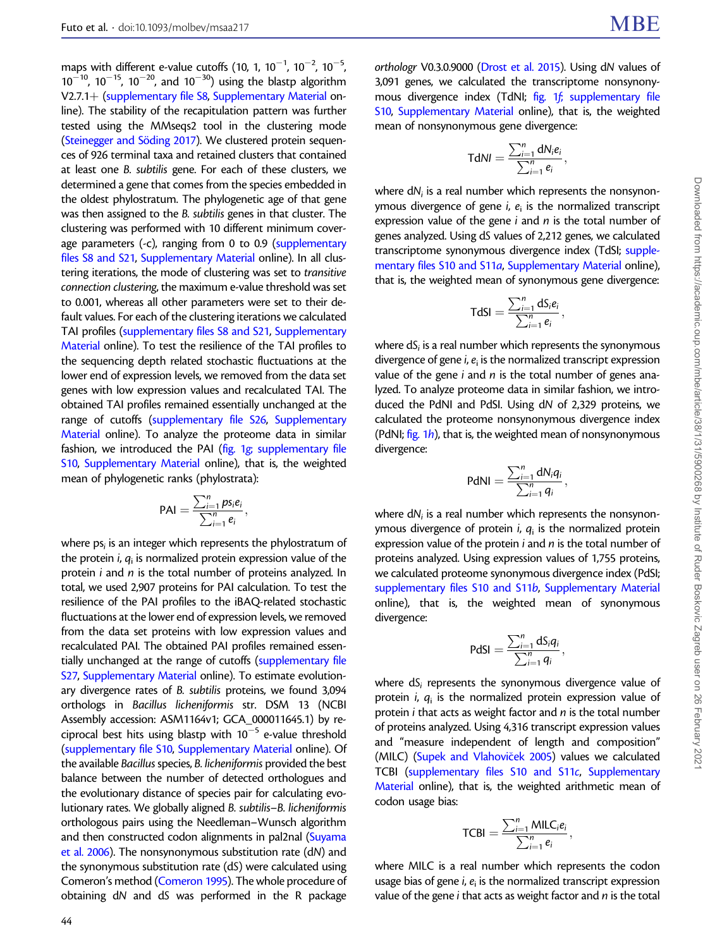maps with different e-value cutoffs (10, 1, 10 $^{-1}$ , 10 $^{-2}$ , 10 $^{-5}$ ,  $10^{-10}$ ,  $10^{-15}$ ,  $10^{-20}$ , and  $10^{-30}$ ) using the blastp algorithm V2.7.1+ (supplementary file S8, Supplementary Material online). The stability of the recapitulation pattern was further tested using the MMseqs2 tool in the clustering mode (Steinegger and Söding 2017). We clustered protein sequences of 926 terminal taxa and retained clusters that contained at least one B. subtilis gene. For each of these clusters, we determined a gene that comes from the species embedded in the oldest phylostratum. The phylogenetic age of that gene was then assigned to the B. subtilis genes in that cluster. The clustering was performed with 10 different minimum coverage parameters (-c), ranging from 0 to 0.9 (supplementary files S8 and S21, Supplementary Material online). In all clustering iterations, the mode of clustering was set to transitive connection clustering, the maximum e-value threshold was set to 0.001, whereas all other parameters were set to their default values. For each of the clustering iterations we calculated TAI profiles (supplementary files S8 and S21, Supplementary Material online). To test the resilience of the TAI profiles to the sequencing depth related stochastic fluctuations at the lower end of expression levels, we removed from the data set genes with low expression values and recalculated TAI. The obtained TAI profiles remained essentially unchanged at the range of cutoffs (supplementary file S26, Supplementary Material online). To analyze the proteome data in similar fashion, we introduced the PAI ([fig. 1](#page-2-0)g; supplementary file S10, Supplementary Material online), that is, the weighted mean of phylogenetic ranks (phylostrata):

$$
PAI = \frac{\sum_{i=1}^{n} ps_i e_i}{\sum_{i=1}^{n} e_i},
$$

where  $ps_i$  is an integer which represents the phylostratum of the protein *i*,  $q_i$  is normalized protein expression value of the protein  $i$  and  $n$  is the total number of proteins analyzed. In total, we used 2,907 proteins for PAI calculation. To test the resilience of the PAI profiles to the iBAQ-related stochastic fluctuations at the lower end of expression levels, we removed from the data set proteins with low expression values and recalculated PAI. The obtained PAI profiles remained essentially unchanged at the range of cutoffs (supplementary file S27, Supplementary Material online). To estimate evolutionary divergence rates of B. subtilis proteins, we found 3,094 orthologs in Bacillus licheniformis str. DSM 13 (NCBI Assembly accession: ASM1164v1; GCA\_000011645.1) by reciprocal best hits using blastp with  $10^{-5}$  e-value threshold (supplementary file S10, Supplementary Material online). Of the available Bacillus species, B. licheniformis provided the best balance between the number of detected orthologues and the evolutionary distance of species pair for calculating evolutionary rates. We globally aligned B. subtilis–B. licheniformis orthologous pairs using the Needleman–Wunsch algorithm and then constructed codon alignments in pal2nal [\(Suyama](#page-16-0) [et al. 2006](#page-16-0)). The nonsynonymous substitution rate (dN) and the synonymous substitution rate (dS) were calculated using Comeron's method [\(Comeron 1995\)](#page-14-0). The whole procedure of obtaining dN and dS was performed in the R package

orthologr V0.3.0.9000 ([Drost et al. 2015\)](#page-15-0). Using dN values of 3,091 genes, we calculated the transcriptome nonsynonymous divergence index (TdNI; [fig. 1](#page-2-0)f; supplementary file S10, Supplementary Material online), that is, the weighted mean of nonsynonymous gene divergence:

$$
\mathsf{Td} N I = \frac{\sum_{i=1}^n dN_i e_i}{\sum_{i=1}^n e_i},
$$

where  $dN_i$  is a real number which represents the nonsynonymous divergence of gene i,  $e_i$  is the normalized transcript expression value of the gene  $i$  and  $n$  is the total number of genes analyzed. Using dS values of 2,212 genes, we calculated transcriptome synonymous divergence index (TdSI; supplementary files S10 and S11a, Supplementary Material online), that is, the weighted mean of synonymous gene divergence:

$$
\mathsf{TdSI} = \frac{\sum_{i=1}^{n} \mathsf{dS}_i e_i}{\sum_{i=1}^{n} e_i}
$$

;

where  $dS_i$  is a real number which represents the synonymous divergence of gene  $i, e_i$  is the normalized transcript expression value of the gene  $i$  and  $n$  is the total number of genes analyzed. To analyze proteome data in similar fashion, we introduced the PdNI and PdSI. Using dN of 2,329 proteins, we calculated the proteome nonsynonymous divergence index (PdNI;  $fig. 1h$  $fig. 1h$ ), that is, the weighted mean of nonsynonymous divergence:

$$
PdNI = \frac{\sum_{i=1}^{n} dN_i q_i}{\sum_{i=1}^{n} q_i},
$$

where  $dN_i$  is a real number which represents the nonsynonymous divergence of protein  $i, q_i$  is the normalized protein expression value of the protein  $i$  and  $n$  is the total number of proteins analyzed. Using expression values of 1,755 proteins, we calculated proteome synonymous divergence index (PdSI; supplementary files S10 and S11b, Supplementary Material online), that is, the weighted mean of synonymous divergence:

$$
PdSI = \frac{\sum_{i=1}^{n} dS_i q_i}{\sum_{i=1}^{n} q_i},
$$

where  $dS_i$  represents the synonymous divergence value of protein i,  $q_i$  is the normalized protein expression value of protein  $i$  that acts as weight factor and  $n$  is the total number of proteins analyzed. Using 4,316 transcript expression values and "measure independent of length and composition" (MILC) [\(Supek and Vlahovi](#page-16-0)č[ek 2005](#page-16-0)) values we calculated TCBI (supplementary files S10 and S11c, Supplementary Material online), that is, the weighted arithmetic mean of codon usage bias:

$$
\mathsf{TCBI} = \frac{\sum_{i=1}^{n} \mathsf{MILC}_{i}e_{i}}{\sum_{i=1}^{n} e_{i}},
$$

where MILC is a real number which represents the codon usage bias of gene i,  $e_i$  is the normalized transcript expression value of the gene  $i$  that acts as weight factor and  $n$  is the total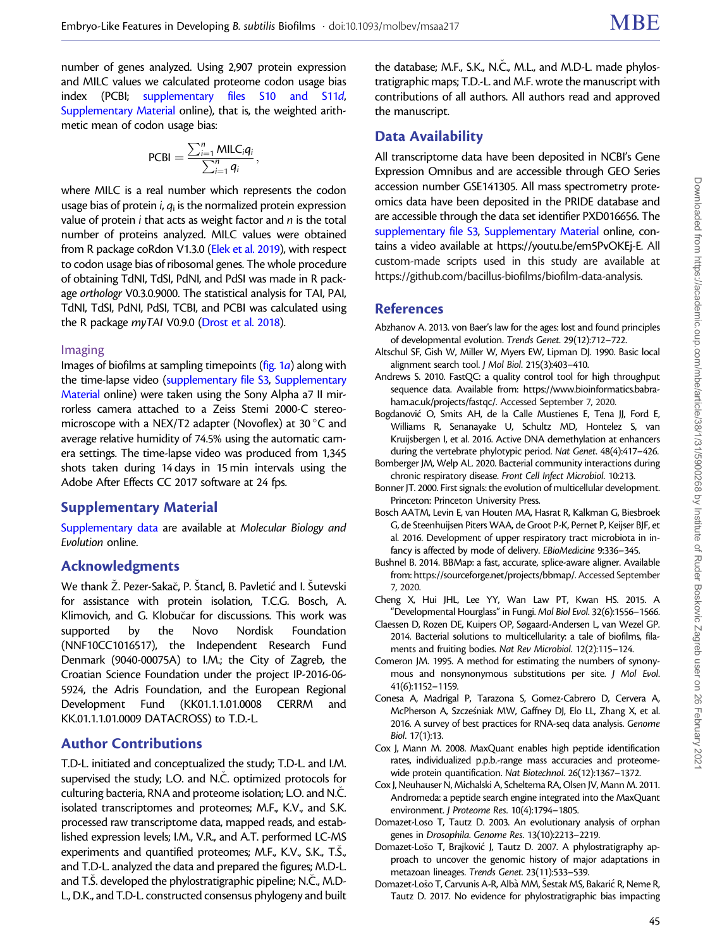<span id="page-14-0"></span>number of genes analyzed. Using 2,907 protein expression and MILC values we calculated proteome codon usage bias index (PCBI; supplementary files S10 and S11d, Supplementary Material online), that is, the weighted arithmetic mean of codon usage bias:

$$
PCBI = \frac{\sum_{i=1}^{n} MILC_iq_i}{\sum_{i=1}^{n} q_i},
$$

where MILC is a real number which represents the codon usage bias of protein  $i, q_i$  is the normalized protein expression value of protein  $i$  that acts as weight factor and  $n$  is the total number of proteins analyzed. MILC values were obtained from R package coRdon V1.3.0 [\(Elek et al. 2019\)](#page-15-0), with respect to codon usage bias of ribosomal genes. The whole procedure of obtaining TdNI, TdSI, PdNI, and PdSI was made in R package orthologr V0.3.0.9000. The statistical analysis for TAI, PAI, TdNI, TdSI, PdNI, PdSI, TCBI, and PCBI was calculated using the R package myTAI V0.9.0 ([Drost et al. 2018\)](#page-15-0).

#### Imaging

Images of biofilms at sampling timepoints [\(fig. 1](#page-2-0)a) along with the time-lapse video (supplementary file S3, Supplementary Material online) were taken using the Sony Alpha a7 II mirrorless camera attached to a Zeiss Stemi 2000-C stereomicroscope with a NEX/T2 adapter (Novoflex) at 30 $\degree$ C and average relative humidity of 74.5% using the automatic camera settings. The time-lapse video was produced from 1,345 shots taken during 14 days in 15 min intervals using the Adobe After Effects CC 2017 software at 24 fps.

## Supplementary Material

Supplementary data are available at Molecular Biology and Evolution online.

# Acknowledgments

We thank Ž. Pezer-Sakač, P. Štancl, B. Pavletić and I. Šutevski for assistance with protein isolation, T.C.G. Bosch, A. Klimovich, and G. Klobučar for discussions. This work was supported by the Novo Nordisk Foundation (NNF10CC1016517), the Independent Research Fund Denmark (9040-00075A) to I.M.; the City of Zagreb, the Croatian Science Foundation under the project IP-2016-06- 5924, the Adris Foundation, and the European Regional Development Fund (KK01.1.1.01.0008 CERRM and KK.01.1.1.01.0009 DATACROSS) to T.D.-L.

## Author Contributions

T.D-L. initiated and conceptualized the study; T.D-L. and I.M. supervised the study; L.O. and N.Č. optimized protocols for culturing bacteria, RNA and proteome isolation; L.O. and N.C. isolated transcriptomes and proteomes; M.F., K.V., and S.K. processed raw transcriptome data, mapped reads, and established expression levels; I.M., V.R., and A.T. performed LC-MS experiments and quantified proteomes; M.F., K.V., S.K., T.Š., and T.D-L. analyzed the data and prepared the figures; M.D-L. and T.Š. developed the phylostratigraphic pipeline; N.Č., M.D-L., D.K., and T.D-L. constructed consensus phylogeny and built

the database; M.F., S.K., N.Č., M.L., and M.D-L. made phylostratigraphic maps; T.D.-L. and M.F. wrote the manuscript with contributions of all authors. All authors read and approved the manuscript.

# Data Availability

All transcriptome data have been deposited in NCBI's Gene Expression Omnibus and are accessible through GEO Series accession number GSE141305. All mass spectrometry proteomics data have been deposited in the PRIDE database and are accessible through the data set identifier PXD016656. The supplementary file S3, Supplementary Material online, contains a video available at [https://youtu.be/em5PvOKEj-E.](https://youtu.be/em5PvOKEj-E) All custom-made scripts used in this study are available at <https://github.com/bacillus-biofilms/biofilm-data-analysis>.

# **References**

- Abzhanov A. 2013. von Baer's law for the ages: lost and found principles of developmental evolution. Trends Genet. 29(12):712–722.
- Altschul SF, Gish W, Miller W, Myers EW, Lipman DJ. 1990. Basic local alignment search tool. J Mol Biol. 215(3):403–410.
- Andrews S. 2010. FastQC: a quality control tool for high throughput sequence data. Available from: [https://www.bioinformatics.babra](https://www.bioinformatics.babraham.ac.uk/projects/fastqc/)[ham.ac.uk/projects/fastqc/.](https://www.bioinformatics.babraham.ac.uk/projects/fastqc/) Accessed September 7, 2020.
- Bogdanović O, Smits AH, de la Calle Mustienes E, Tena JJ, Ford E, Williams R, Senanayake U, Schultz MD, Hontelez S, van Kruijsbergen I, et al. 2016. Active DNA demethylation at enhancers during the vertebrate phylotypic period. Nat Genet. 48(4):417–426.
- Bomberger JM, Welp AL. 2020. Bacterial community interactions during chronic respiratory disease. Front Cell Infect Microbiol. 10:213.
- Bonner JT. 2000. First signals: the evolution of multicellular development. Princeton: Princeton University Press.
- Bosch AATM, Levin E, van Houten MA, Hasrat R, Kalkman G, Biesbroek G, de Steenhuijsen Piters WAA, de Groot P-K, Pernet P, Keijser BJF, et al. 2016. Development of upper respiratory tract microbiota in infancy is affected by mode of delivery. EBioMedicine 9:336–345.
- Bushnel B. 2014. BBMap: a fast, accurate, splice-aware aligner. Available from:<https://sourceforge.net/projects/bbmap/>. Accessed September 7, 2020.
- Cheng X, Hui JHL, Lee YY, Wan Law PT, Kwan HS. 2015. A "Developmental Hourglass" in Fungi. Mol Biol Evol. 32(6):1556–1566.
- Claessen D, Rozen DE, Kuipers OP, Søgaard-Andersen L, van Wezel GP. 2014. Bacterial solutions to multicellularity: a tale of biofilms, filaments and fruiting bodies. Nat Rev Microbiol. 12(2):115–124.
- Comeron JM. 1995. A method for estimating the numbers of synonymous and nonsynonymous substitutions per site. J Mol Evol. 41(6):1152–1159.
- Conesa A, Madrigal P, Tarazona S, Gomez-Cabrero D, Cervera A, McPherson A, Szcześniak MW, Gaffney DJ, Elo LL, Zhang X, et al. 2016. A survey of best practices for RNA-seq data analysis. Genome Biol. 17(1):13.
- Cox J, Mann M. 2008. MaxQuant enables high peptide identification rates, individualized p.p.b.-range mass accuracies and proteomewide protein quantification. Nat Biotechnol. 26(12):1367–1372.
- Cox J, Neuhauser N, Michalski A, Scheltema RA, Olsen JV, Mann M. 2011. Andromeda: a peptide search engine integrated into the MaxQuant environment. J Proteome Res. 10(4):1794–1805.
- Domazet-Loso T, Tautz D. 2003. An evolutionary analysis of orphan genes in Drosophila. Genome Res. 13(10):2213–2219.
- Domazet-Lošo T, Brajković J, Tautz D. 2007. A phylostratigraphy approach to uncover the genomic history of major adaptations in metazoan lineages. Trends Genet. 23(11):533–539.
- Domazet-Lošo T, Carvunis A-R, Albà MM, Šestak MS, Bakarić R, Neme R, Tautz D. 2017. No evidence for phylostratigraphic bias impacting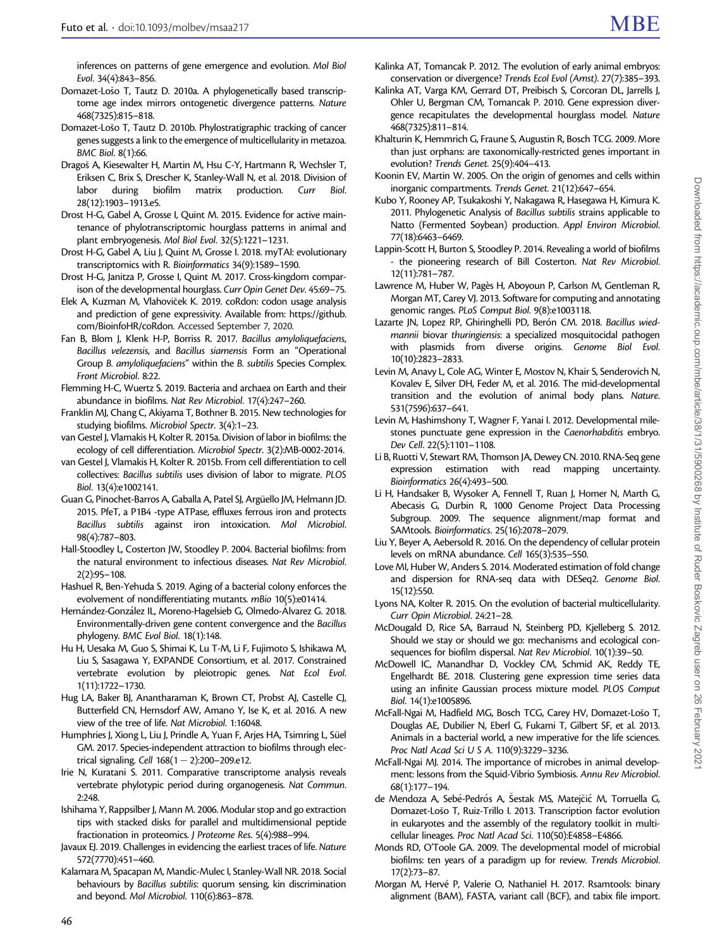<span id="page-15-0"></span>inferences on patterns of gene emergence and evolution. Mol Biol Evol. 34(4):843–856.

- Domazet-Lošo T, Tautz D. 2010a. A phylogenetically based transcriptome age index mirrors ontogenetic divergence patterns. Nature 468(7325):815–818.
- Domazet-Lošo T, Tautz D. 2010b. Phylostratigraphic tracking of cancer genes suggests a link to the emergence of multicellularity in metazoa. BMC Biol. 8(1):66.
- Dragoš A, Kiesewalter H, Martin M, Hsu C-Y, Hartmann R, Wechsler T, Eriksen C, Brix S, Drescher K, Stanley-Wall N, et al. 2018. Division of labor during biofilm matrix production. Curr Biol. 28(12):1903–1913.e5.
- Drost H-G, Gabel A, Grosse I, Quint M. 2015. Evidence for active maintenance of phylotranscriptomic hourglass patterns in animal and plant embryogenesis. Mol Biol Evol. 32(5):1221–1231.
- Drost H-G, Gabel A, Liu J, Quint M, Grosse I. 2018. myTAI: evolutionary transcriptomics with R. Bioinformatics 34(9):1589–1590.
- Drost H-G, Janitza P, Grosse I, Quint M. 2017. Cross-kingdom comparison of the developmental hourglass. Curr Opin Genet Dev. 45:69–75.
- Elek A, Kuzman M, Vlahoviček K. 2019. coRdon: codon usage analysis and prediction of gene expressivity. Available from: [https://github.](https://github.com/BioinfoHR/coRdon) [com/BioinfoHR/coRdon.](https://github.com/BioinfoHR/coRdon) Accessed September 7, 2020.
- Fan B, Blom J, Klenk H-P, Borriss R. 2017. Bacillus amyloliquefaciens, Bacillus velezensis, and Bacillus siamensis Form an "Operational Group B. amyloliquefaciens" within the B. subtilis Species Complex. Front Microbiol. 8:22.
- Flemming H-C, Wuertz S. 2019. Bacteria and archaea on Earth and their abundance in biofilms. Nat Rev Microbiol. 17(4):247–260.
- Franklin MJ, Chang C, Akiyama T, Bothner B. 2015. New technologies for studying biofilms. Microbiol Spectr. 3(4):1–23.
- van Gestel J, Vlamakis H, Kolter R. 2015a. Division of labor in biofilms: the ecology of cell differentiation. Microbiol Spectr. 3(2):MB-0002-2014.
- van Gestel J, Vlamakis H, Kolter R. 2015b. From cell differentiation to cell collectives: Bacillus subtilis uses division of labor to migrate. PLOS Biol. 13(4):e1002141.
- Guan G, Pinochet-Barros A, Gaballa A, Patel SJ, Argüello JM, Helmann JD. 2015. PfeT, a P1B4 -type ATPase, effluxes ferrous iron and protects Bacillus subtilis against iron intoxication. Mol Microbiol. 98(4):787–803.
- Hall-Stoodley L, Costerton JW, Stoodley P. 2004. Bacterial biofilms: from the natural environment to infectious diseases. Nat Rev Microbiol. 2(2):95–108.
- Hashuel R, Ben-Yehuda S. 2019. Aging of a bacterial colony enforces the evolvement of nondifferentiating mutants. mBio 10(5):e01414.
- Hernández-González IL, Moreno-Hagelsieb G, Olmedo-Álvarez G. 2018. Environmentally-driven gene content convergence and the Bacillus phylogeny. BMC Evol Biol. 18(1):148.
- Hu H, Uesaka M, Guo S, Shimai K, Lu T-M, Li F, Fujimoto S, Ishikawa M, Liu S, Sasagawa Y, EXPANDE Consortium, et al. 2017. Constrained vertebrate evolution by pleiotropic genes. Nat Ecol Evol. 1(11):1722–1730.
- Hug LA, Baker BJ, Anantharaman K, Brown CT, Probst AJ, Castelle CJ, Butterfield CN, Hernsdorf AW, Amano Y, Ise K, et al. 2016. A new view of the tree of life. Nat Microbiol. 1:16048.
- Humphries J, Xiong L, Liu J, Prindle A, Yuan F, Arjes HA, Tsimring L, Süel GM. 2017. Species-independent attraction to biofilms through electrical signaling. Cell 168(1 – 2):200–209.e12.
- Irie N, Kuratani S. 2011. Comparative transcriptome analysis reveals vertebrate phylotypic period during organogenesis. Nat Commun. 2:248.
- Ishihama Y, Rappsilber J, Mann M. 2006. Modular stop and go extraction tips with stacked disks for parallel and multidimensional peptide fractionation in proteomics. J Proteome Res. 5(4):988–994.
- Javaux EJ. 2019. Challenges in evidencing the earliest traces of life. Nature 572(7770):451–460.
- Kalamara M, Spacapan M, Mandic-Mulec I, Stanley-Wall NR. 2018. Social behaviours by Bacillus subtilis: quorum sensing, kin discrimination and beyond. Mol Microbiol. 110(6):863–878.
- Kalinka AT, Tomancak P. 2012. The evolution of early animal embryos: conservation or divergence? Trends Ecol Evol (Amst). 27(7):385–393.
- Kalinka AT, Varga KM, Gerrard DT, Preibisch S, Corcoran DL, Jarrells J, Ohler U, Bergman CM, Tomancak P. 2010. Gene expression divergence recapitulates the developmental hourglass model. Nature 468(7325):811–814.
- Khalturin K, Hemmrich G, Fraune S, Augustin R, Bosch TCG. 2009. More than just orphans: are taxonomically-restricted genes important in evolution? Trends Genet. 25(9):404–413.
- Koonin EV, Martin W. 2005. On the origin of genomes and cells within inorganic compartments. Trends Genet. 21(12):647–654.
- Kubo Y, Rooney AP, Tsukakoshi Y, Nakagawa R, Hasegawa H, Kimura K. 2011. Phylogenetic Analysis of Bacillus subtilis strains applicable to Natto (Fermented Soybean) production. Appl Environ Microbiol. 77(18):6463–6469.
- Lappin-Scott H, Burton S, Stoodley P. 2014. Revealing a world of biofilms - the pioneering research of Bill Costerton. Nat Rev Microbiol. 12(11):781–787.
- Lawrence M, Huber W, Pagès H, Aboyoun P, Carlson M, Gentleman R, Morgan MT, Carey VJ. 2013. Software for computing and annotating genomic ranges. PLoS Comput Biol. 9(8):e1003118.
- Lazarte JN, Lopez RP, Ghiringhelli PD, Berón CM. 2018. Bacillus wiedmannii biovar thuringiensis: a specialized mosquitocidal pathogen with plasmids from diverse origins. Genome Biol Evol. 10(10):2823–2833.
- Levin M, Anavy L, Cole AG, Winter E, Mostov N, Khair S, Senderovich N, Kovalev E, Silver DH, Feder M, et al. 2016. The mid-developmental transition and the evolution of animal body plans. Nature. 531(7596):637–641.
- Levin M, Hashimshony T, Wagner F, Yanai I. 2012. Developmental milestones punctuate gene expression in the Caenorhabditis embryo. Dev Cell. 22(5):1101–1108.
- Li B, Ruotti V, Stewart RM, Thomson JA, Dewey CN. 2010. RNA-Seq gene expression estimation with read mapping uncertainty. Bioinformatics 26(4):493–500.
- Li H, Handsaker B, Wysoker A, Fennell T, Ruan J, Homer N, Marth G, Abecasis G, Durbin R, 1000 Genome Project Data Processing Subgroup. 2009. The sequence alignment/map format and SAMtools. Bioinformatics. 25(16):2078–2079.
- Liu Y, Beyer A, Aebersold R. 2016. On the dependency of cellular protein levels on mRNA abundance. Cell 165(3):535–550.
- Love MI, Huber W, Anders S. 2014. Moderated estimation of fold change and dispersion for RNA-seq data with DESeq2. Genome Biol. 15(12):550.
- Lyons NA, Kolter R. 2015. On the evolution of bacterial multicellularity. Curr Opin Microbiol. 24:21–28.
- McDougald D, Rice SA, Barraud N, Steinberg PD, Kjelleberg S. 2012. Should we stay or should we go: mechanisms and ecological consequences for biofilm dispersal. Nat Rev Microbiol. 10(1):39–50.
- McDowell IC, Manandhar D, Vockley CM, Schmid AK, Reddy TE, Engelhardt BE. 2018. Clustering gene expression time series data using an infinite Gaussian process mixture model. PLOS Comput Biol. 14(1):e1005896.
- McFall-Ngai M, Hadfield MG, Bosch TCG, Carey HV, Domazet-Lošo T, Douglas AE, Dubilier N, Eberl G, Fukami T, Gilbert SF, et al. 2013. Animals in a bacterial world, a new imperative for the life sciences. Proc Natl Acad Sci U S A. 110(9):3229–3236.
- McFall-Ngai MJ. 2014. The importance of microbes in animal development: lessons from the Squid-Vibrio Symbiosis. Annu Rev Microbiol. 68(1):177–194.
- de Mendoza A, Sebé-Pedrós A, Šestak MS, Matejčić M, Torruella G, Domazet-Lošo T, Ruiz-Trillo I. 2013. Transcription factor evolution in eukaryotes and the assembly of the regulatory toolkit in multicellular lineages. Proc Natl Acad Sci. 110(50):E4858–E4866.
- Monds RD, O'Toole GA. 2009. The developmental model of microbial biofilms: ten years of a paradigm up for review. Trends Microbiol. 17(2):73–87.
- Morgan M, Hervé P, Valerie O, Nathaniel H. 2017. Rsamtools: binary alignment (BAM), FASTA, variant call (BCF), and tabix file import.